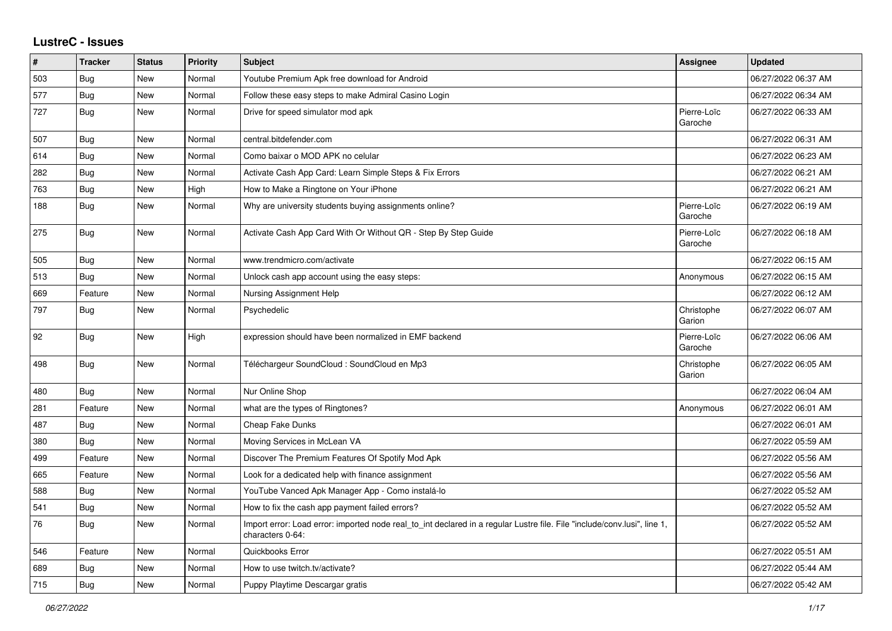## **LustreC - Issues**

| #   | <b>Tracker</b> | <b>Status</b> | <b>Priority</b> | <b>Subject</b>                                                                                                                               | <b>Assignee</b>        | <b>Updated</b>      |
|-----|----------------|---------------|-----------------|----------------------------------------------------------------------------------------------------------------------------------------------|------------------------|---------------------|
| 503 | Bug            | <b>New</b>    | Normal          | Youtube Premium Apk free download for Android                                                                                                |                        | 06/27/2022 06:37 AM |
| 577 | Bug            | New           | Normal          | Follow these easy steps to make Admiral Casino Login                                                                                         |                        | 06/27/2022 06:34 AM |
| 727 | <b>Bug</b>     | <b>New</b>    | Normal          | Drive for speed simulator mod apk                                                                                                            | Pierre-Loïc<br>Garoche | 06/27/2022 06:33 AM |
| 507 | Bug            | <b>New</b>    | Normal          | central.bitdefender.com                                                                                                                      |                        | 06/27/2022 06:31 AM |
| 614 | Bug            | <b>New</b>    | Normal          | Como baixar o MOD APK no celular                                                                                                             |                        | 06/27/2022 06:23 AM |
| 282 | Bug            | New           | Normal          | Activate Cash App Card: Learn Simple Steps & Fix Errors                                                                                      |                        | 06/27/2022 06:21 AM |
| 763 | <b>Bug</b>     | <b>New</b>    | High            | How to Make a Ringtone on Your iPhone                                                                                                        |                        | 06/27/2022 06:21 AM |
| 188 | Bug            | <b>New</b>    | Normal          | Why are university students buying assignments online?                                                                                       | Pierre-Loïc<br>Garoche | 06/27/2022 06:19 AM |
| 275 | Bug            | <b>New</b>    | Normal          | Activate Cash App Card With Or Without QR - Step By Step Guide                                                                               | Pierre-Loïc<br>Garoche | 06/27/2022 06:18 AM |
| 505 | Bug            | <b>New</b>    | Normal          | www.trendmicro.com/activate                                                                                                                  |                        | 06/27/2022 06:15 AM |
| 513 | <b>Bug</b>     | <b>New</b>    | Normal          | Unlock cash app account using the easy steps:                                                                                                | Anonymous              | 06/27/2022 06:15 AM |
| 669 | Feature        | <b>New</b>    | Normal          | Nursing Assignment Help                                                                                                                      |                        | 06/27/2022 06:12 AM |
| 797 | Bug            | <b>New</b>    | Normal          | Psychedelic                                                                                                                                  | Christophe<br>Garion   | 06/27/2022 06:07 AM |
| 92  | Bug            | <b>New</b>    | High            | expression should have been normalized in EMF backend                                                                                        | Pierre-Loïc<br>Garoche | 06/27/2022 06:06 AM |
| 498 | Bug            | New           | Normal          | Téléchargeur SoundCloud : SoundCloud en Mp3                                                                                                  | Christophe<br>Garion   | 06/27/2022 06:05 AM |
| 480 | Bug            | <b>New</b>    | Normal          | Nur Online Shop                                                                                                                              |                        | 06/27/2022 06:04 AM |
| 281 | Feature        | <b>New</b>    | Normal          | what are the types of Ringtones?                                                                                                             | Anonymous              | 06/27/2022 06:01 AM |
| 487 | <b>Bug</b>     | <b>New</b>    | Normal          | Cheap Fake Dunks                                                                                                                             |                        | 06/27/2022 06:01 AM |
| 380 | Bug            | New           | Normal          | Moving Services in McLean VA                                                                                                                 |                        | 06/27/2022 05:59 AM |
| 499 | Feature        | <b>New</b>    | Normal          | Discover The Premium Features Of Spotify Mod Apk                                                                                             |                        | 06/27/2022 05:56 AM |
| 665 | Feature        | <b>New</b>    | Normal          | Look for a dedicated help with finance assignment                                                                                            |                        | 06/27/2022 05:56 AM |
| 588 | <b>Bug</b>     | <b>New</b>    | Normal          | YouTube Vanced Apk Manager App - Como instalá-lo                                                                                             |                        | 06/27/2022 05:52 AM |
| 541 | Bug            | New           | Normal          | How to fix the cash app payment failed errors?                                                                                               |                        | 06/27/2022 05:52 AM |
| 76  | <b>Bug</b>     | <b>New</b>    | Normal          | Import error: Load error: imported node real_to_int declared in a regular Lustre file. File "include/conv.lusi", line 1,<br>characters 0-64: |                        | 06/27/2022 05:52 AM |
| 546 | Feature        | <b>New</b>    | Normal          | Quickbooks Error                                                                                                                             |                        | 06/27/2022 05:51 AM |
| 689 | <b>Bug</b>     | <b>New</b>    | Normal          | How to use twitch.tv/activate?                                                                                                               |                        | 06/27/2022 05:44 AM |
| 715 | Bug            | <b>New</b>    | Normal          | Puppy Playtime Descargar gratis                                                                                                              |                        | 06/27/2022 05:42 AM |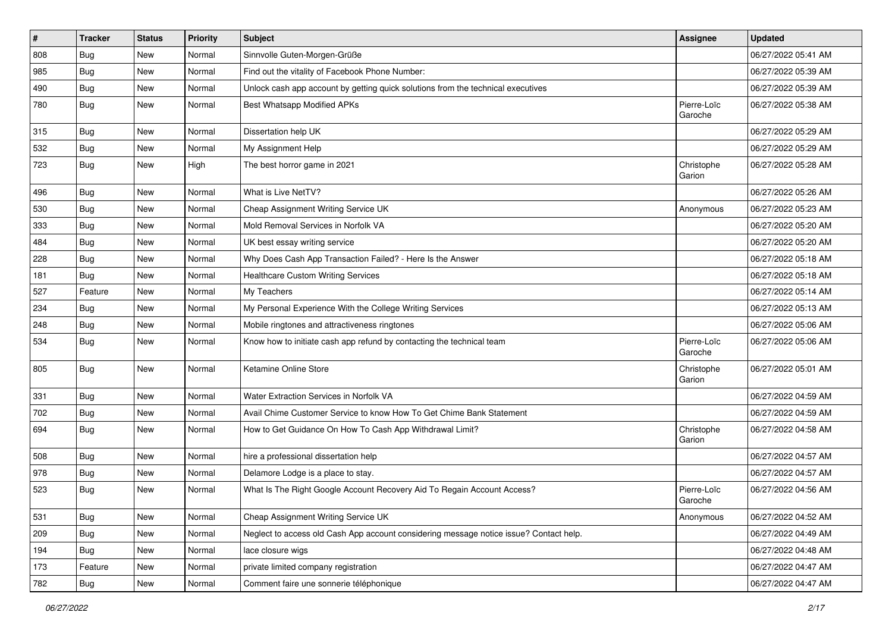| $\vert$ # | <b>Tracker</b> | <b>Status</b> | <b>Priority</b> | <b>Subject</b>                                                                         | Assignee               | <b>Updated</b>      |
|-----------|----------------|---------------|-----------------|----------------------------------------------------------------------------------------|------------------------|---------------------|
| 808       | <b>Bug</b>     | New           | Normal          | Sinnvolle Guten-Morgen-Grüße                                                           |                        | 06/27/2022 05:41 AM |
| 985       | Bug            | New           | Normal          | Find out the vitality of Facebook Phone Number:                                        |                        | 06/27/2022 05:39 AM |
| 490       | Bug            | New           | Normal          | Unlock cash app account by getting quick solutions from the technical executives       |                        | 06/27/2022 05:39 AM |
| 780       | <b>Bug</b>     | New           | Normal          | Best Whatsapp Modified APKs                                                            | Pierre-Loïc<br>Garoche | 06/27/2022 05:38 AM |
| 315       | <b>Bug</b>     | New           | Normal          | Dissertation help UK                                                                   |                        | 06/27/2022 05:29 AM |
| 532       | Bug            | New           | Normal          | My Assignment Help                                                                     |                        | 06/27/2022 05:29 AM |
| 723       | Bug            | New           | High            | The best horror game in 2021                                                           | Christophe<br>Garion   | 06/27/2022 05:28 AM |
| 496       | <b>Bug</b>     | New           | Normal          | What is Live NetTV?                                                                    |                        | 06/27/2022 05:26 AM |
| 530       | Bug            | New           | Normal          | Cheap Assignment Writing Service UK                                                    | Anonymous              | 06/27/2022 05:23 AM |
| 333       | <b>Bug</b>     | <b>New</b>    | Normal          | Mold Removal Services in Norfolk VA                                                    |                        | 06/27/2022 05:20 AM |
| 484       | Bug            | New           | Normal          | UK best essay writing service                                                          |                        | 06/27/2022 05:20 AM |
| 228       | <b>Bug</b>     | New           | Normal          | Why Does Cash App Transaction Failed? - Here Is the Answer                             |                        | 06/27/2022 05:18 AM |
| 181       | <b>Bug</b>     | New           | Normal          | <b>Healthcare Custom Writing Services</b>                                              |                        | 06/27/2022 05:18 AM |
| 527       | Feature        | New           | Normal          | My Teachers                                                                            |                        | 06/27/2022 05:14 AM |
| 234       | <b>Bug</b>     | New           | Normal          | My Personal Experience With the College Writing Services                               |                        | 06/27/2022 05:13 AM |
| 248       | Bug            | New           | Normal          | Mobile ringtones and attractiveness ringtones                                          |                        | 06/27/2022 05:06 AM |
| 534       | Bug            | New           | Normal          | Know how to initiate cash app refund by contacting the technical team                  | Pierre-Loïc<br>Garoche | 06/27/2022 05:06 AM |
| 805       | Bug            | New           | Normal          | Ketamine Online Store                                                                  | Christophe<br>Garion   | 06/27/2022 05:01 AM |
| 331       | Bug            | New           | Normal          | Water Extraction Services in Norfolk VA                                                |                        | 06/27/2022 04:59 AM |
| 702       | Bug            | New           | Normal          | Avail Chime Customer Service to know How To Get Chime Bank Statement                   |                        | 06/27/2022 04:59 AM |
| 694       | Bug            | New           | Normal          | How to Get Guidance On How To Cash App Withdrawal Limit?                               | Christophe<br>Garion   | 06/27/2022 04:58 AM |
| 508       | Bug            | New           | Normal          | hire a professional dissertation help                                                  |                        | 06/27/2022 04:57 AM |
| 978       | Bug            | New           | Normal          | Delamore Lodge is a place to stay.                                                     |                        | 06/27/2022 04:57 AM |
| 523       | Bug            | New           | Normal          | What Is The Right Google Account Recovery Aid To Regain Account Access?                | Pierre-Loïc<br>Garoche | 06/27/2022 04:56 AM |
| 531       | Bug            | New           | Normal          | Cheap Assignment Writing Service UK                                                    | Anonymous              | 06/27/2022 04:52 AM |
| 209       | Bug            | New           | Normal          | Neglect to access old Cash App account considering message notice issue? Contact help. |                        | 06/27/2022 04:49 AM |
| 194       | Bug            | New           | Normal          | lace closure wigs                                                                      |                        | 06/27/2022 04:48 AM |
| 173       | Feature        | New           | Normal          | private limited company registration                                                   |                        | 06/27/2022 04:47 AM |
| 782       | Bug            | New           | Normal          | Comment faire une sonnerie téléphonique                                                |                        | 06/27/2022 04:47 AM |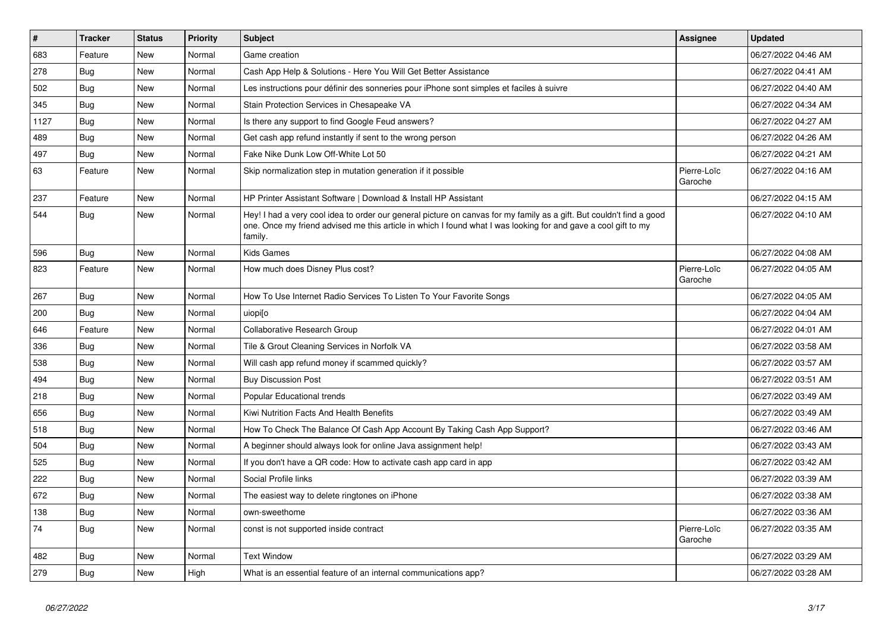| $\vert$ # | <b>Tracker</b> | <b>Status</b> | <b>Priority</b> | <b>Subject</b>                                                                                                                                                                                                                                    | Assignee               | <b>Updated</b>      |
|-----------|----------------|---------------|-----------------|---------------------------------------------------------------------------------------------------------------------------------------------------------------------------------------------------------------------------------------------------|------------------------|---------------------|
| 683       | Feature        | <b>New</b>    | Normal          | Game creation                                                                                                                                                                                                                                     |                        | 06/27/2022 04:46 AM |
| 278       | <b>Bug</b>     | <b>New</b>    | Normal          | Cash App Help & Solutions - Here You Will Get Better Assistance                                                                                                                                                                                   |                        | 06/27/2022 04:41 AM |
| 502       | Bug            | <b>New</b>    | Normal          | Les instructions pour définir des sonneries pour iPhone sont simples et faciles à suivre                                                                                                                                                          |                        | 06/27/2022 04:40 AM |
| 345       | <b>Bug</b>     | New           | Normal          | Stain Protection Services in Chesapeake VA                                                                                                                                                                                                        |                        | 06/27/2022 04:34 AM |
| 1127      | Bug            | <b>New</b>    | Normal          | Is there any support to find Google Feud answers?                                                                                                                                                                                                 |                        | 06/27/2022 04:27 AM |
| 489       | <b>Bug</b>     | <b>New</b>    | Normal          | Get cash app refund instantly if sent to the wrong person                                                                                                                                                                                         |                        | 06/27/2022 04:26 AM |
| 497       | Bug            | New           | Normal          | Fake Nike Dunk Low Off-White Lot 50                                                                                                                                                                                                               |                        | 06/27/2022 04:21 AM |
| 63        | Feature        | New           | Normal          | Skip normalization step in mutation generation if it possible                                                                                                                                                                                     | Pierre-Loïc<br>Garoche | 06/27/2022 04:16 AM |
| 237       | Feature        | <b>New</b>    | Normal          | HP Printer Assistant Software   Download & Install HP Assistant                                                                                                                                                                                   |                        | 06/27/2022 04:15 AM |
| 544       | Bug            | <b>New</b>    | Normal          | Hey! I had a very cool idea to order our general picture on canvas for my family as a gift. But couldn't find a good<br>one. Once my friend advised me this article in which I found what I was looking for and gave a cool gift to my<br>family. |                        | 06/27/2022 04:10 AM |
| 596       | <b>Bug</b>     | New           | Normal          | <b>Kids Games</b>                                                                                                                                                                                                                                 |                        | 06/27/2022 04:08 AM |
| 823       | Feature        | New           | Normal          | How much does Disney Plus cost?                                                                                                                                                                                                                   | Pierre-Loïc<br>Garoche | 06/27/2022 04:05 AM |
| 267       | <b>Bug</b>     | <b>New</b>    | Normal          | How To Use Internet Radio Services To Listen To Your Favorite Songs                                                                                                                                                                               |                        | 06/27/2022 04:05 AM |
| 200       | Bug            | New           | Normal          | uiopi[o                                                                                                                                                                                                                                           |                        | 06/27/2022 04:04 AM |
| 646       | Feature        | New           | Normal          | Collaborative Research Group                                                                                                                                                                                                                      |                        | 06/27/2022 04:01 AM |
| 336       | Bug            | <b>New</b>    | Normal          | Tile & Grout Cleaning Services in Norfolk VA                                                                                                                                                                                                      |                        | 06/27/2022 03:58 AM |
| 538       | <b>Bug</b>     | <b>New</b>    | Normal          | Will cash app refund money if scammed quickly?                                                                                                                                                                                                    |                        | 06/27/2022 03:57 AM |
| 494       | Bug            | New           | Normal          | <b>Buy Discussion Post</b>                                                                                                                                                                                                                        |                        | 06/27/2022 03:51 AM |
| 218       | Bug            | <b>New</b>    | Normal          | Popular Educational trends                                                                                                                                                                                                                        |                        | 06/27/2022 03:49 AM |
| 656       | Bug            | <b>New</b>    | Normal          | Kiwi Nutrition Facts And Health Benefits                                                                                                                                                                                                          |                        | 06/27/2022 03:49 AM |
| 518       | <b>Bug</b>     | <b>New</b>    | Normal          | How To Check The Balance Of Cash App Account By Taking Cash App Support?                                                                                                                                                                          |                        | 06/27/2022 03:46 AM |
| 504       | Bug            | <b>New</b>    | Normal          | A beginner should always look for online Java assignment help!                                                                                                                                                                                    |                        | 06/27/2022 03:43 AM |
| 525       | Bug            | <b>New</b>    | Normal          | If you don't have a QR code: How to activate cash app card in app                                                                                                                                                                                 |                        | 06/27/2022 03:42 AM |
| 222       | Bug            | <b>New</b>    | Normal          | Social Profile links                                                                                                                                                                                                                              |                        | 06/27/2022 03:39 AM |
| 672       | <b>Bug</b>     | New           | Normal          | The easiest way to delete ringtones on iPhone                                                                                                                                                                                                     |                        | 06/27/2022 03:38 AM |
| 138       | <b>Bug</b>     | <b>New</b>    | Normal          | own-sweethome                                                                                                                                                                                                                                     |                        | 06/27/2022 03:36 AM |
| 74        | <b>Bug</b>     | <b>New</b>    | Normal          | const is not supported inside contract                                                                                                                                                                                                            | Pierre-Loïc<br>Garoche | 06/27/2022 03:35 AM |
| 482       | <b>Bug</b>     | <b>New</b>    | Normal          | <b>Text Window</b>                                                                                                                                                                                                                                |                        | 06/27/2022 03:29 AM |
| 279       | Bug            | <b>New</b>    | High            | What is an essential feature of an internal communications app?                                                                                                                                                                                   |                        | 06/27/2022 03:28 AM |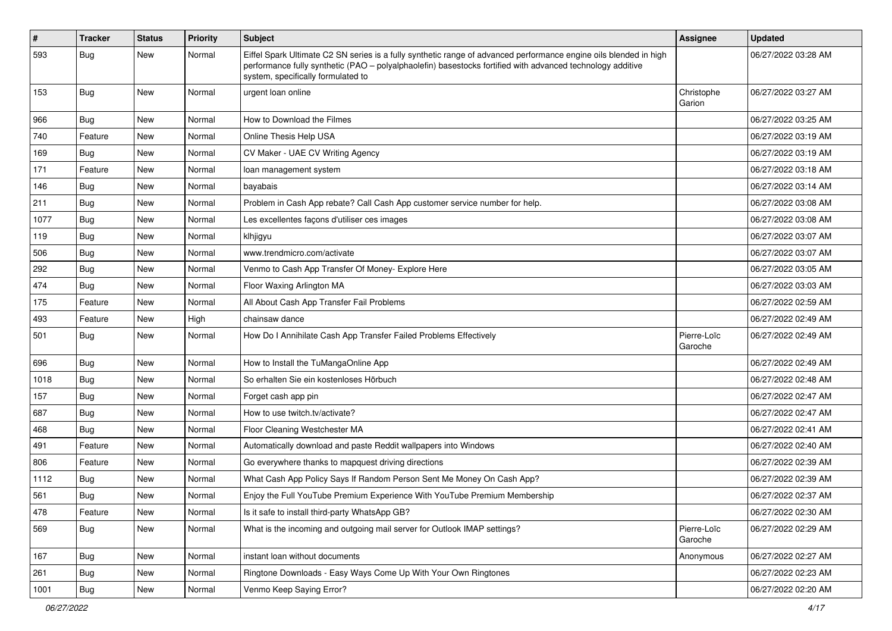| $\vert$ # | <b>Tracker</b> | <b>Status</b> | <b>Priority</b> | <b>Subject</b>                                                                                                                                                                                                                                                        | <b>Assignee</b>        | <b>Updated</b>      |
|-----------|----------------|---------------|-----------------|-----------------------------------------------------------------------------------------------------------------------------------------------------------------------------------------------------------------------------------------------------------------------|------------------------|---------------------|
| 593       | Bug            | New           | Normal          | Eiffel Spark Ultimate C2 SN series is a fully synthetic range of advanced performance engine oils blended in high<br>performance fully synthetic (PAO – polyalphaolefin) basestocks fortified with advanced technology additive<br>system, specifically formulated to |                        | 06/27/2022 03:28 AM |
| 153       | <b>Bug</b>     | New           | Normal          | urgent loan online                                                                                                                                                                                                                                                    | Christophe<br>Garion   | 06/27/2022 03:27 AM |
| 966       | <b>Bug</b>     | New           | Normal          | How to Download the Filmes                                                                                                                                                                                                                                            |                        | 06/27/2022 03:25 AM |
| 740       | Feature        | New           | Normal          | Online Thesis Help USA                                                                                                                                                                                                                                                |                        | 06/27/2022 03:19 AM |
| 169       | Bug            | New           | Normal          | CV Maker - UAE CV Writing Agency                                                                                                                                                                                                                                      |                        | 06/27/2022 03:19 AM |
| 171       | Feature        | New           | Normal          | loan management system                                                                                                                                                                                                                                                |                        | 06/27/2022 03:18 AM |
| 146       | <b>Bug</b>     | New           | Normal          | bayabais                                                                                                                                                                                                                                                              |                        | 06/27/2022 03:14 AM |
| 211       | Bug            | New           | Normal          | Problem in Cash App rebate? Call Cash App customer service number for help.                                                                                                                                                                                           |                        | 06/27/2022 03:08 AM |
| 1077      | <b>Bug</b>     | New           | Normal          | Les excellentes façons d'utiliser ces images                                                                                                                                                                                                                          |                        | 06/27/2022 03:08 AM |
| 119       | Bug            | New           | Normal          | klhjigyu                                                                                                                                                                                                                                                              |                        | 06/27/2022 03:07 AM |
| 506       | <b>Bug</b>     | New           | Normal          | www.trendmicro.com/activate                                                                                                                                                                                                                                           |                        | 06/27/2022 03:07 AM |
| 292       | Bug            | New           | Normal          | Venmo to Cash App Transfer Of Money- Explore Here                                                                                                                                                                                                                     |                        | 06/27/2022 03:05 AM |
| 474       | Bug            | New           | Normal          | Floor Waxing Arlington MA                                                                                                                                                                                                                                             |                        | 06/27/2022 03:03 AM |
| 175       | Feature        | New           | Normal          | All About Cash App Transfer Fail Problems                                                                                                                                                                                                                             |                        | 06/27/2022 02:59 AM |
| 493       | Feature        | New           | High            | chainsaw dance                                                                                                                                                                                                                                                        |                        | 06/27/2022 02:49 AM |
| 501       | Bug            | New           | Normal          | How Do I Annihilate Cash App Transfer Failed Problems Effectively                                                                                                                                                                                                     | Pierre-Loïc<br>Garoche | 06/27/2022 02:49 AM |
| 696       | Bug            | New           | Normal          | How to Install the TuMangaOnline App                                                                                                                                                                                                                                  |                        | 06/27/2022 02:49 AM |
| 1018      | <b>Bug</b>     | New           | Normal          | So erhalten Sie ein kostenloses Hörbuch                                                                                                                                                                                                                               |                        | 06/27/2022 02:48 AM |
| 157       | <b>Bug</b>     | New           | Normal          | Forget cash app pin                                                                                                                                                                                                                                                   |                        | 06/27/2022 02:47 AM |
| 687       | <b>Bug</b>     | New           | Normal          | How to use twitch.tv/activate?                                                                                                                                                                                                                                        |                        | 06/27/2022 02:47 AM |
| 468       | Bug            | New           | Normal          | Floor Cleaning Westchester MA                                                                                                                                                                                                                                         |                        | 06/27/2022 02:41 AM |
| 491       | Feature        | New           | Normal          | Automatically download and paste Reddit wallpapers into Windows                                                                                                                                                                                                       |                        | 06/27/2022 02:40 AM |
| 806       | Feature        | New           | Normal          | Go everywhere thanks to mapquest driving directions                                                                                                                                                                                                                   |                        | 06/27/2022 02:39 AM |
| 1112      | Bug            | New           | Normal          | What Cash App Policy Says If Random Person Sent Me Money On Cash App?                                                                                                                                                                                                 |                        | 06/27/2022 02:39 AM |
| 561       | Bug            | New           | Normal          | Enjoy the Full YouTube Premium Experience With YouTube Premium Membership                                                                                                                                                                                             |                        | 06/27/2022 02:37 AM |
| 478       | Feature        | New           | Normal          | Is it safe to install third-party WhatsApp GB?                                                                                                                                                                                                                        |                        | 06/27/2022 02:30 AM |
| 569       | Bug            | New           | Normal          | What is the incoming and outgoing mail server for Outlook IMAP settings?                                                                                                                                                                                              | Pierre-Loïc<br>Garoche | 06/27/2022 02:29 AM |
| 167       | Bug            | New           | Normal          | instant loan without documents                                                                                                                                                                                                                                        | Anonymous              | 06/27/2022 02:27 AM |
| 261       | Bug            | New           | Normal          | Ringtone Downloads - Easy Ways Come Up With Your Own Ringtones                                                                                                                                                                                                        |                        | 06/27/2022 02:23 AM |
| 1001      | <b>Bug</b>     | New           | Normal          | Venmo Keep Saying Error?                                                                                                                                                                                                                                              |                        | 06/27/2022 02:20 AM |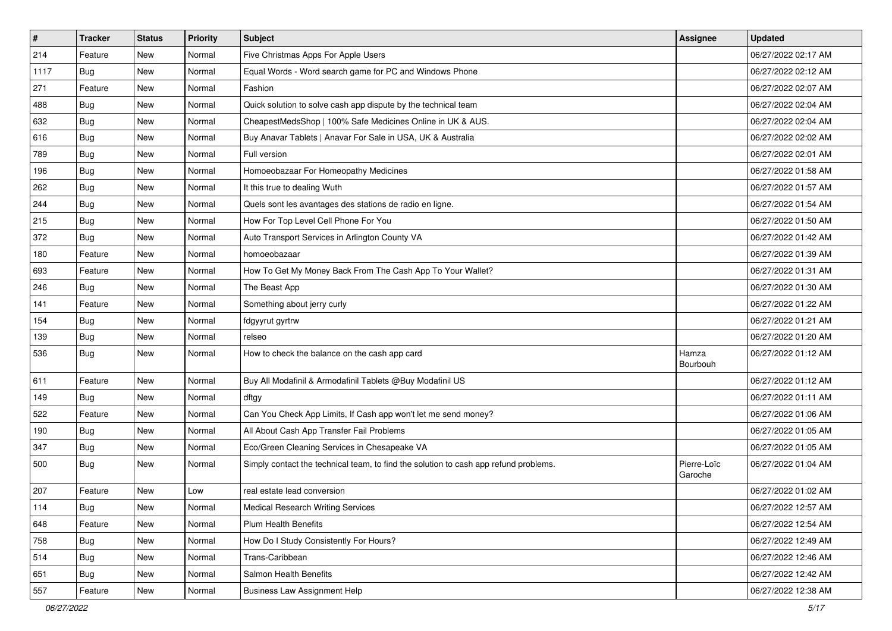| $\sharp$ | <b>Tracker</b> | <b>Status</b> | <b>Priority</b> | Subject                                                                              | Assignee               | <b>Updated</b>      |
|----------|----------------|---------------|-----------------|--------------------------------------------------------------------------------------|------------------------|---------------------|
| 214      | Feature        | New           | Normal          | Five Christmas Apps For Apple Users                                                  |                        | 06/27/2022 02:17 AM |
| 1117     | <b>Bug</b>     | New           | Normal          | Equal Words - Word search game for PC and Windows Phone                              |                        | 06/27/2022 02:12 AM |
| 271      | Feature        | New           | Normal          | Fashion                                                                              |                        | 06/27/2022 02:07 AM |
| 488      | <b>Bug</b>     | <b>New</b>    | Normal          | Quick solution to solve cash app dispute by the technical team                       |                        | 06/27/2022 02:04 AM |
| 632      | Bug            | New           | Normal          | CheapestMedsShop   100% Safe Medicines Online in UK & AUS.                           |                        | 06/27/2022 02:04 AM |
| 616      | <b>Bug</b>     | <b>New</b>    | Normal          | Buy Anavar Tablets   Anavar For Sale in USA, UK & Australia                          |                        | 06/27/2022 02:02 AM |
| 789      | Bug            | New           | Normal          | Full version                                                                         |                        | 06/27/2022 02:01 AM |
| 196      | <b>Bug</b>     | New           | Normal          | Homoeobazaar For Homeopathy Medicines                                                |                        | 06/27/2022 01:58 AM |
| 262      | Bug            | New           | Normal          | It this true to dealing Wuth                                                         |                        | 06/27/2022 01:57 AM |
| 244      | Bug            | <b>New</b>    | Normal          | Quels sont les avantages des stations de radio en ligne.                             |                        | 06/27/2022 01:54 AM |
| 215      | <b>Bug</b>     | New           | Normal          | How For Top Level Cell Phone For You                                                 |                        | 06/27/2022 01:50 AM |
| 372      | Bug            | New           | Normal          | Auto Transport Services in Arlington County VA                                       |                        | 06/27/2022 01:42 AM |
| 180      | Feature        | New           | Normal          | homoeobazaar                                                                         |                        | 06/27/2022 01:39 AM |
| 693      | Feature        | New           | Normal          | How To Get My Money Back From The Cash App To Your Wallet?                           |                        | 06/27/2022 01:31 AM |
| 246      | <b>Bug</b>     | <b>New</b>    | Normal          | The Beast App                                                                        |                        | 06/27/2022 01:30 AM |
| 141      | Feature        | New           | Normal          | Something about jerry curly                                                          |                        | 06/27/2022 01:22 AM |
| 154      | <b>Bug</b>     | New           | Normal          | fdgyyrut gyrtrw                                                                      |                        | 06/27/2022 01:21 AM |
| 139      | Bug            | New           | Normal          | relseo                                                                               |                        | 06/27/2022 01:20 AM |
| 536      | <b>Bug</b>     | New           | Normal          | How to check the balance on the cash app card                                        | Hamza<br>Bourbouh      | 06/27/2022 01:12 AM |
| 611      | Feature        | <b>New</b>    | Normal          | Buy All Modafinil & Armodafinil Tablets @Buy Modafinil US                            |                        | 06/27/2022 01:12 AM |
| 149      | <b>Bug</b>     | New           | Normal          | dftgy                                                                                |                        | 06/27/2022 01:11 AM |
| 522      | Feature        | New           | Normal          | Can You Check App Limits, If Cash app won't let me send money?                       |                        | 06/27/2022 01:06 AM |
| 190      | Bug            | New           | Normal          | All About Cash App Transfer Fail Problems                                            |                        | 06/27/2022 01:05 AM |
| 347      | <b>Bug</b>     | New           | Normal          | Eco/Green Cleaning Services in Chesapeake VA                                         |                        | 06/27/2022 01:05 AM |
| 500      | <b>Bug</b>     | New           | Normal          | Simply contact the technical team, to find the solution to cash app refund problems. | Pierre-Loïc<br>Garoche | 06/27/2022 01:04 AM |
| 207      | Feature        | <b>New</b>    | Low             | real estate lead conversion                                                          |                        | 06/27/2022 01:02 AM |
| 114      | Bug            | New           | Normal          | <b>Medical Research Writing Services</b>                                             |                        | 06/27/2022 12:57 AM |
| 648      | Feature        | New           | Normal          | Plum Health Benefits                                                                 |                        | 06/27/2022 12:54 AM |
| 758      | Bug            | New           | Normal          | How Do I Study Consistently For Hours?                                               |                        | 06/27/2022 12:49 AM |
| 514      | <b>Bug</b>     | New           | Normal          | Trans-Caribbean                                                                      |                        | 06/27/2022 12:46 AM |
| 651      | <b>Bug</b>     | New           | Normal          | Salmon Health Benefits                                                               |                        | 06/27/2022 12:42 AM |
| 557      | Feature        | New           | Normal          | <b>Business Law Assignment Help</b>                                                  |                        | 06/27/2022 12:38 AM |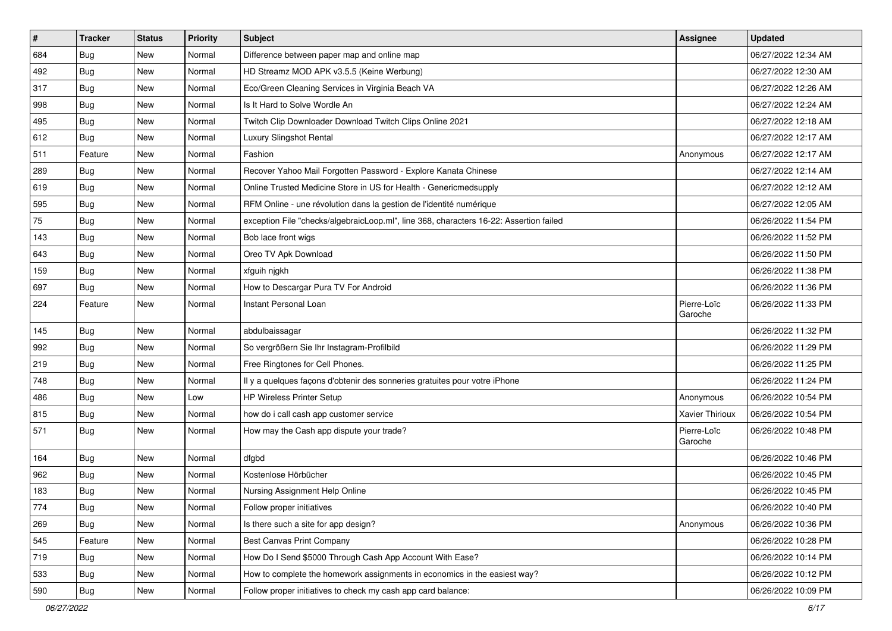| $\sharp$ | <b>Tracker</b> | <b>Status</b> | <b>Priority</b> | Subject                                                                                | Assignee               | <b>Updated</b>      |
|----------|----------------|---------------|-----------------|----------------------------------------------------------------------------------------|------------------------|---------------------|
| 684      | <b>Bug</b>     | New           | Normal          | Difference between paper map and online map                                            |                        | 06/27/2022 12:34 AM |
| 492      | <b>Bug</b>     | <b>New</b>    | Normal          | HD Streamz MOD APK v3.5.5 (Keine Werbung)                                              |                        | 06/27/2022 12:30 AM |
| 317      | Bug            | New           | Normal          | Eco/Green Cleaning Services in Virginia Beach VA                                       |                        | 06/27/2022 12:26 AM |
| 998      | <b>Bug</b>     | <b>New</b>    | Normal          | Is It Hard to Solve Wordle An                                                          |                        | 06/27/2022 12:24 AM |
| 495      | Bug            | New           | Normal          | Twitch Clip Downloader Download Twitch Clips Online 2021                               |                        | 06/27/2022 12:18 AM |
| 612      | <b>Bug</b>     | New           | Normal          | Luxury Slingshot Rental                                                                |                        | 06/27/2022 12:17 AM |
| 511      | Feature        | New           | Normal          | Fashion                                                                                | Anonymous              | 06/27/2022 12:17 AM |
| 289      | <b>Bug</b>     | New           | Normal          | Recover Yahoo Mail Forgotten Password - Explore Kanata Chinese                         |                        | 06/27/2022 12:14 AM |
| 619      | <b>Bug</b>     | New           | Normal          | Online Trusted Medicine Store in US for Health - Genericmedsupply                      |                        | 06/27/2022 12:12 AM |
| 595      | Bug            | <b>New</b>    | Normal          | RFM Online - une révolution dans la gestion de l'identité numérique                    |                        | 06/27/2022 12:05 AM |
| 75       | <b>Bug</b>     | New           | Normal          | exception File "checks/algebraicLoop.ml", line 368, characters 16-22: Assertion failed |                        | 06/26/2022 11:54 PM |
| 143      | Bug            | New           | Normal          | Bob lace front wigs                                                                    |                        | 06/26/2022 11:52 PM |
| 643      | Bug            | <b>New</b>    | Normal          | Oreo TV Apk Download                                                                   |                        | 06/26/2022 11:50 PM |
| 159      | <b>Bug</b>     | New           | Normal          | xfguih njgkh                                                                           |                        | 06/26/2022 11:38 PM |
| 697      | <b>Bug</b>     | <b>New</b>    | Normal          | How to Descargar Pura TV For Android                                                   |                        | 06/26/2022 11:36 PM |
| 224      | Feature        | New           | Normal          | Instant Personal Loan                                                                  | Pierre-Loïc<br>Garoche | 06/26/2022 11:33 PM |
| 145      | Bug            | New           | Normal          | abdulbaissagar                                                                         |                        | 06/26/2022 11:32 PM |
| 992      | <b>Bug</b>     | New           | Normal          | So vergrößern Sie Ihr Instagram-Profilbild                                             |                        | 06/26/2022 11:29 PM |
| 219      | Bug            | New           | Normal          | Free Ringtones for Cell Phones.                                                        |                        | 06/26/2022 11:25 PM |
| 748      | Bug            | <b>New</b>    | Normal          | Il y a quelques façons d'obtenir des sonneries gratuites pour votre iPhone             |                        | 06/26/2022 11:24 PM |
| 486      | <b>Bug</b>     | New           | Low             | <b>HP Wireless Printer Setup</b>                                                       | Anonymous              | 06/26/2022 10:54 PM |
| 815      | Bug            | <b>New</b>    | Normal          | how do i call cash app customer service                                                | Xavier Thirioux        | 06/26/2022 10:54 PM |
| 571      | <b>Bug</b>     | New           | Normal          | How may the Cash app dispute your trade?                                               | Pierre-Loïc<br>Garoche | 06/26/2022 10:48 PM |
| 164      | Bug            | <b>New</b>    | Normal          | dfgbd                                                                                  |                        | 06/26/2022 10:46 PM |
| 962      | <b>Bug</b>     | New           | Normal          | Kostenlose Hörbücher                                                                   |                        | 06/26/2022 10:45 PM |
| 183      | <b>Bug</b>     | <b>New</b>    | Normal          | Nursing Assignment Help Online                                                         |                        | 06/26/2022 10:45 PM |
| 774      | Bug            | New           | Normal          | Follow proper initiatives                                                              |                        | 06/26/2022 10:40 PM |
| 269      | Bug            | New           | Normal          | Is there such a site for app design?                                                   | Anonymous              | 06/26/2022 10:36 PM |
| 545      | Feature        | New           | Normal          | <b>Best Canvas Print Company</b>                                                       |                        | 06/26/2022 10:28 PM |
| 719      | <b>Bug</b>     | New           | Normal          | How Do I Send \$5000 Through Cash App Account With Ease?                               |                        | 06/26/2022 10:14 PM |
| 533      | Bug            | New           | Normal          | How to complete the homework assignments in economics in the easiest way?              |                        | 06/26/2022 10:12 PM |
| 590      | Bug            | New           | Normal          | Follow proper initiatives to check my cash app card balance:                           |                        | 06/26/2022 10:09 PM |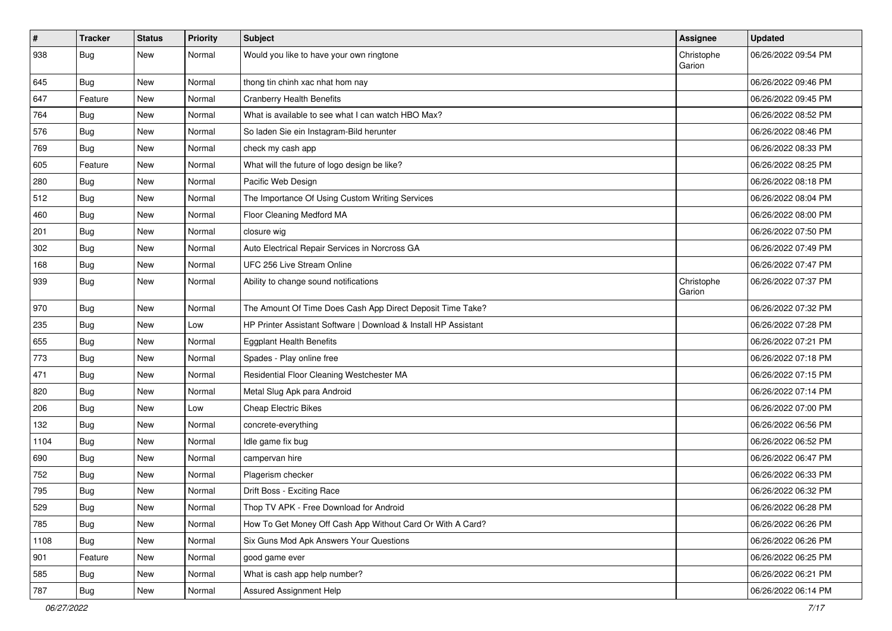| $\sharp$ | <b>Tracker</b> | <b>Status</b> | <b>Priority</b> | Subject                                                         | Assignee             | <b>Updated</b>      |
|----------|----------------|---------------|-----------------|-----------------------------------------------------------------|----------------------|---------------------|
| 938      | <b>Bug</b>     | New           | Normal          | Would you like to have your own ringtone                        | Christophe<br>Garion | 06/26/2022 09:54 PM |
| 645      | <b>Bug</b>     | New           | Normal          | thong tin chinh xac nhat hom nay                                |                      | 06/26/2022 09:46 PM |
| 647      | Feature        | New           | Normal          | <b>Cranberry Health Benefits</b>                                |                      | 06/26/2022 09:45 PM |
| 764      | Bug            | New           | Normal          | What is available to see what I can watch HBO Max?              |                      | 06/26/2022 08:52 PM |
| 576      | <b>Bug</b>     | New           | Normal          | So laden Sie ein Instagram-Bild herunter                        |                      | 06/26/2022 08:46 PM |
| 769      | <b>Bug</b>     | <b>New</b>    | Normal          | check my cash app                                               |                      | 06/26/2022 08:33 PM |
| 605      | Feature        | New           | Normal          | What will the future of logo design be like?                    |                      | 06/26/2022 08:25 PM |
| 280      | <b>Bug</b>     | New           | Normal          | Pacific Web Design                                              |                      | 06/26/2022 08:18 PM |
| 512      | Bug            | <b>New</b>    | Normal          | The Importance Of Using Custom Writing Services                 |                      | 06/26/2022 08:04 PM |
| 460      | <b>Bug</b>     | New           | Normal          | Floor Cleaning Medford MA                                       |                      | 06/26/2022 08:00 PM |
| 201      | Bug            | New           | Normal          | closure wig                                                     |                      | 06/26/2022 07:50 PM |
| 302      | <b>Bug</b>     | New           | Normal          | Auto Electrical Repair Services in Norcross GA                  |                      | 06/26/2022 07:49 PM |
| 168      | <b>Bug</b>     | New           | Normal          | UFC 256 Live Stream Online                                      |                      | 06/26/2022 07:47 PM |
| 939      | Bug            | New           | Normal          | Ability to change sound notifications                           | Christophe<br>Garion | 06/26/2022 07:37 PM |
| 970      | Bug            | New           | Normal          | The Amount Of Time Does Cash App Direct Deposit Time Take?      |                      | 06/26/2022 07:32 PM |
| 235      | Bug            | New           | Low             | HP Printer Assistant Software   Download & Install HP Assistant |                      | 06/26/2022 07:28 PM |
| 655      | Bug            | New           | Normal          | <b>Eggplant Health Benefits</b>                                 |                      | 06/26/2022 07:21 PM |
| 773      | <b>Bug</b>     | <b>New</b>    | Normal          | Spades - Play online free                                       |                      | 06/26/2022 07:18 PM |
| 471      | <b>Bug</b>     | New           | Normal          | Residential Floor Cleaning Westchester MA                       |                      | 06/26/2022 07:15 PM |
| 820      | <b>Bug</b>     | New           | Normal          | Metal Slug Apk para Android                                     |                      | 06/26/2022 07:14 PM |
| 206      | Bug            | New           | Low             | <b>Cheap Electric Bikes</b>                                     |                      | 06/26/2022 07:00 PM |
| 132      | <b>Bug</b>     | New           | Normal          | concrete-everything                                             |                      | 06/26/2022 06:56 PM |
| 1104     | Bug            | New           | Normal          | Idle game fix bug                                               |                      | 06/26/2022 06:52 PM |
| 690      | Bug            | New           | Normal          | campervan hire                                                  |                      | 06/26/2022 06:47 PM |
| 752      | <b>Bug</b>     | New           | Normal          | Plagerism checker                                               |                      | 06/26/2022 06:33 PM |
| 795      | Bug            | <b>New</b>    | Normal          | Drift Boss - Exciting Race                                      |                      | 06/26/2022 06:32 PM |
| 529      | <b>Bug</b>     | New           | Normal          | Thop TV APK - Free Download for Android                         |                      | 06/26/2022 06:28 PM |
| 785      | Bug            | New           | Normal          | How To Get Money Off Cash App Without Card Or With A Card?      |                      | 06/26/2022 06:26 PM |
| 1108     | Bug            | New           | Normal          | Six Guns Mod Apk Answers Your Questions                         |                      | 06/26/2022 06:26 PM |
| 901      | Feature        | New           | Normal          | good game ever                                                  |                      | 06/26/2022 06:25 PM |
| 585      | Bug            | New           | Normal          | What is cash app help number?                                   |                      | 06/26/2022 06:21 PM |
| 787      | Bug            | New           | Normal          | Assured Assignment Help                                         |                      | 06/26/2022 06:14 PM |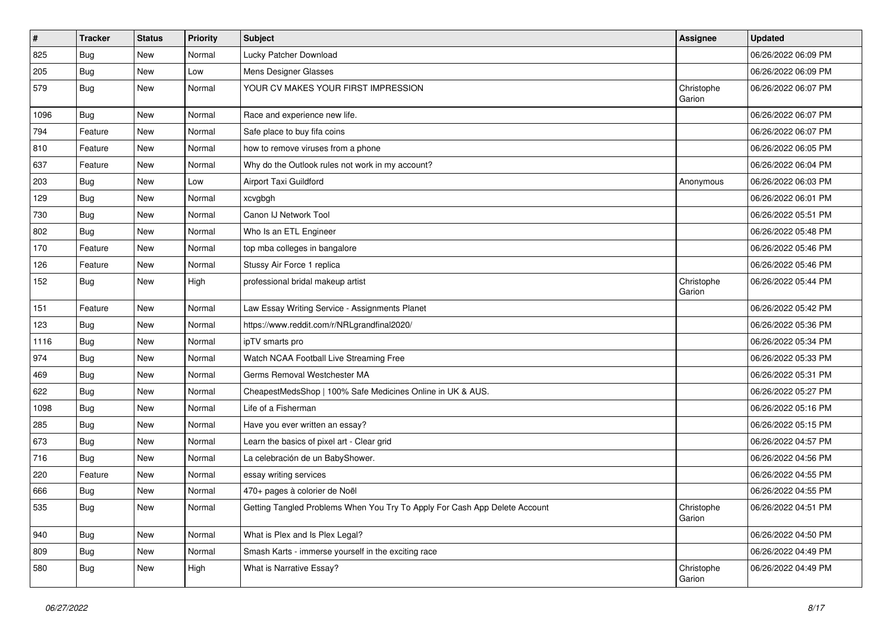| $\vert$ # | <b>Tracker</b> | <b>Status</b> | <b>Priority</b> | <b>Subject</b>                                                             | <b>Assignee</b>      | <b>Updated</b>      |
|-----------|----------------|---------------|-----------------|----------------------------------------------------------------------------|----------------------|---------------------|
| 825       | Bug            | New           | Normal          | Lucky Patcher Download                                                     |                      | 06/26/2022 06:09 PM |
| 205       | Bug            | New           | Low             | Mens Designer Glasses                                                      |                      | 06/26/2022 06:09 PM |
| 579       | <b>Bug</b>     | New           | Normal          | YOUR CV MAKES YOUR FIRST IMPRESSION                                        | Christophe<br>Garion | 06/26/2022 06:07 PM |
| 1096      | <b>Bug</b>     | <b>New</b>    | Normal          | Race and experience new life.                                              |                      | 06/26/2022 06:07 PM |
| 794       | Feature        | <b>New</b>    | Normal          | Safe place to buy fifa coins                                               |                      | 06/26/2022 06:07 PM |
| 810       | Feature        | New           | Normal          | how to remove viruses from a phone                                         |                      | 06/26/2022 06:05 PM |
| 637       | Feature        | New           | Normal          | Why do the Outlook rules not work in my account?                           |                      | 06/26/2022 06:04 PM |
| 203       | Bug            | New           | Low             | Airport Taxi Guildford                                                     | Anonymous            | 06/26/2022 06:03 PM |
| 129       | Bug            | New           | Normal          | xcvgbgh                                                                    |                      | 06/26/2022 06:01 PM |
| 730       | Bug            | New           | Normal          | Canon IJ Network Tool                                                      |                      | 06/26/2022 05:51 PM |
| 802       | Bug            | New           | Normal          | Who Is an ETL Engineer                                                     |                      | 06/26/2022 05:48 PM |
| 170       | Feature        | New           | Normal          | top mba colleges in bangalore                                              |                      | 06/26/2022 05:46 PM |
| 126       | Feature        | New           | Normal          | Stussy Air Force 1 replica                                                 |                      | 06/26/2022 05:46 PM |
| 152       | Bug            | New           | High            | professional bridal makeup artist                                          | Christophe<br>Garion | 06/26/2022 05:44 PM |
| 151       | Feature        | New           | Normal          | Law Essay Writing Service - Assignments Planet                             |                      | 06/26/2022 05:42 PM |
| 123       | Bug            | New           | Normal          | https://www.reddit.com/r/NRLgrandfinal2020/                                |                      | 06/26/2022 05:36 PM |
| 1116      | Bug            | New           | Normal          | ipTV smarts pro                                                            |                      | 06/26/2022 05:34 PM |
| 974       | Bug            | New           | Normal          | Watch NCAA Football Live Streaming Free                                    |                      | 06/26/2022 05:33 PM |
| 469       | Bug            | New           | Normal          | Germs Removal Westchester MA                                               |                      | 06/26/2022 05:31 PM |
| 622       | Bug            | New           | Normal          | CheapestMedsShop   100% Safe Medicines Online in UK & AUS.                 |                      | 06/26/2022 05:27 PM |
| 1098      | Bug            | New           | Normal          | Life of a Fisherman                                                        |                      | 06/26/2022 05:16 PM |
| 285       | Bug            | New           | Normal          | Have you ever written an essay?                                            |                      | 06/26/2022 05:15 PM |
| 673       | Bug            | New           | Normal          | Learn the basics of pixel art - Clear grid                                 |                      | 06/26/2022 04:57 PM |
| 716       | <b>Bug</b>     | New           | Normal          | La celebración de un BabyShower.                                           |                      | 06/26/2022 04:56 PM |
| 220       | Feature        | <b>New</b>    | Normal          | essay writing services                                                     |                      | 06/26/2022 04:55 PM |
| 666       | <b>Bug</b>     | <b>New</b>    | Normal          | 470+ pages à colorier de Noël                                              |                      | 06/26/2022 04:55 PM |
| 535       | Bug            | <b>New</b>    | Normal          | Getting Tangled Problems When You Try To Apply For Cash App Delete Account | Christophe<br>Garion | 06/26/2022 04:51 PM |
| 940       | Bug            | New           | Normal          | What is Plex and Is Plex Legal?                                            |                      | 06/26/2022 04:50 PM |
| 809       | <b>Bug</b>     | New           | Normal          | Smash Karts - immerse yourself in the exciting race                        |                      | 06/26/2022 04:49 PM |
| 580       | Bug            | New           | High            | What is Narrative Essay?                                                   | Christophe<br>Garion | 06/26/2022 04:49 PM |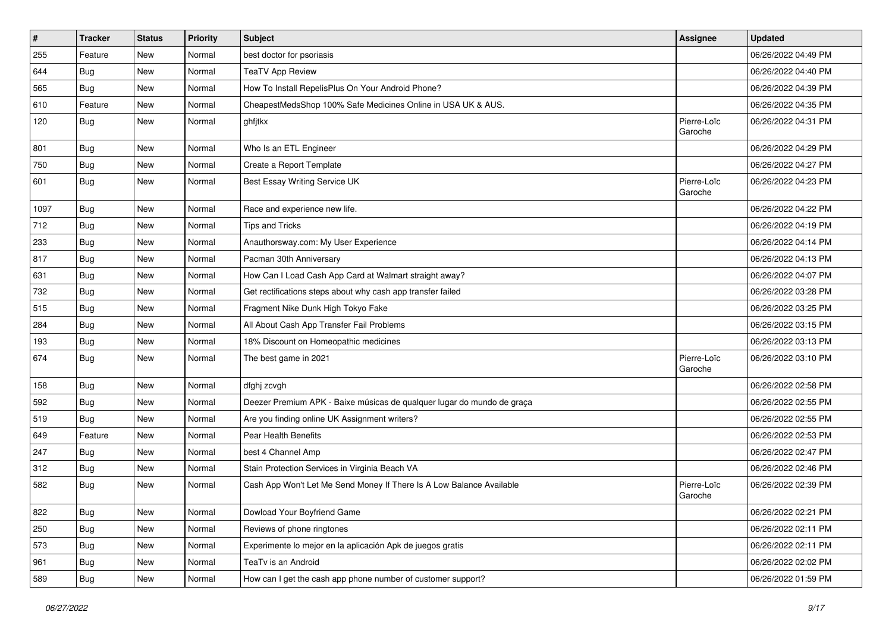| $\vert$ # | <b>Tracker</b> | <b>Status</b> | <b>Priority</b> | <b>Subject</b>                                                         | <b>Assignee</b>        | <b>Updated</b>      |
|-----------|----------------|---------------|-----------------|------------------------------------------------------------------------|------------------------|---------------------|
| 255       | Feature        | New           | Normal          | best doctor for psoriasis                                              |                        | 06/26/2022 04:49 PM |
| 644       | Bug            | <b>New</b>    | Normal          | <b>TeaTV App Review</b>                                                |                        | 06/26/2022 04:40 PM |
| 565       | Bug            | New           | Normal          | How To Install RepelisPlus On Your Android Phone?                      |                        | 06/26/2022 04:39 PM |
| 610       | Feature        | New           | Normal          | CheapestMedsShop 100% Safe Medicines Online in USA UK & AUS.           |                        | 06/26/2022 04:35 PM |
| 120       | <b>Bug</b>     | New           | Normal          | ghfjtkx                                                                | Pierre-Loïc<br>Garoche | 06/26/2022 04:31 PM |
| 801       | <b>Bug</b>     | New           | Normal          | Who Is an ETL Engineer                                                 |                        | 06/26/2022 04:29 PM |
| 750       | Bug            | New           | Normal          | Create a Report Template                                               |                        | 06/26/2022 04:27 PM |
| 601       | <b>Bug</b>     | New           | Normal          | Best Essay Writing Service UK                                          | Pierre-Loïc<br>Garoche | 06/26/2022 04:23 PM |
| 1097      | Bug            | New           | Normal          | Race and experience new life.                                          |                        | 06/26/2022 04:22 PM |
| 712       | <b>Bug</b>     | New           | Normal          | <b>Tips and Tricks</b>                                                 |                        | 06/26/2022 04:19 PM |
| 233       | Bug            | New           | Normal          | Anauthorsway.com: My User Experience                                   |                        | 06/26/2022 04:14 PM |
| 817       | <b>Bug</b>     | New           | Normal          | Pacman 30th Anniversary                                                |                        | 06/26/2022 04:13 PM |
| 631       | <b>Bug</b>     | New           | Normal          | How Can I Load Cash App Card at Walmart straight away?                 |                        | 06/26/2022 04:07 PM |
| 732       | Bug            | New           | Normal          | Get rectifications steps about why cash app transfer failed            |                        | 06/26/2022 03:28 PM |
| 515       | <b>Bug</b>     | New           | Normal          | Fragment Nike Dunk High Tokyo Fake                                     |                        | 06/26/2022 03:25 PM |
| 284       | Bug            | New           | Normal          | All About Cash App Transfer Fail Problems                              |                        | 06/26/2022 03:15 PM |
| 193       | <b>Bug</b>     | New           | Normal          | 18% Discount on Homeopathic medicines                                  |                        | 06/26/2022 03:13 PM |
| 674       | Bug            | New           | Normal          | The best game in 2021                                                  | Pierre-Loïc<br>Garoche | 06/26/2022 03:10 PM |
| 158       | Bug            | New           | Normal          | dfghj zcvgh                                                            |                        | 06/26/2022 02:58 PM |
| 592       | Bug            | New           | Normal          | Deezer Premium APK - Baixe músicas de qualquer lugar do mundo de graça |                        | 06/26/2022 02:55 PM |
| 519       | <b>Bug</b>     | New           | Normal          | Are you finding online UK Assignment writers?                          |                        | 06/26/2022 02:55 PM |
| 649       | Feature        | New           | Normal          | Pear Health Benefits                                                   |                        | 06/26/2022 02:53 PM |
| 247       | Bug            | New           | Normal          | best 4 Channel Amp                                                     |                        | 06/26/2022 02:47 PM |
| 312       | <b>Bug</b>     | New           | Normal          | Stain Protection Services in Virginia Beach VA                         |                        | 06/26/2022 02:46 PM |
| 582       | <b>Bug</b>     | New           | Normal          | Cash App Won't Let Me Send Money If There Is A Low Balance Available   | Pierre-Loïc<br>Garoche | 06/26/2022 02:39 PM |
| 822       | <b>Bug</b>     | New           | Normal          | Dowload Your Boyfriend Game                                            |                        | 06/26/2022 02:21 PM |
| 250       | Bug            | New           | Normal          | Reviews of phone ringtones                                             |                        | 06/26/2022 02:11 PM |
| 573       | <b>Bug</b>     | New           | Normal          | Experimente lo mejor en la aplicación Apk de juegos gratis             |                        | 06/26/2022 02:11 PM |
| 961       | <b>Bug</b>     | New           | Normal          | TeaTv is an Android                                                    |                        | 06/26/2022 02:02 PM |
| 589       | Bug            | New           | Normal          | How can I get the cash app phone number of customer support?           |                        | 06/26/2022 01:59 PM |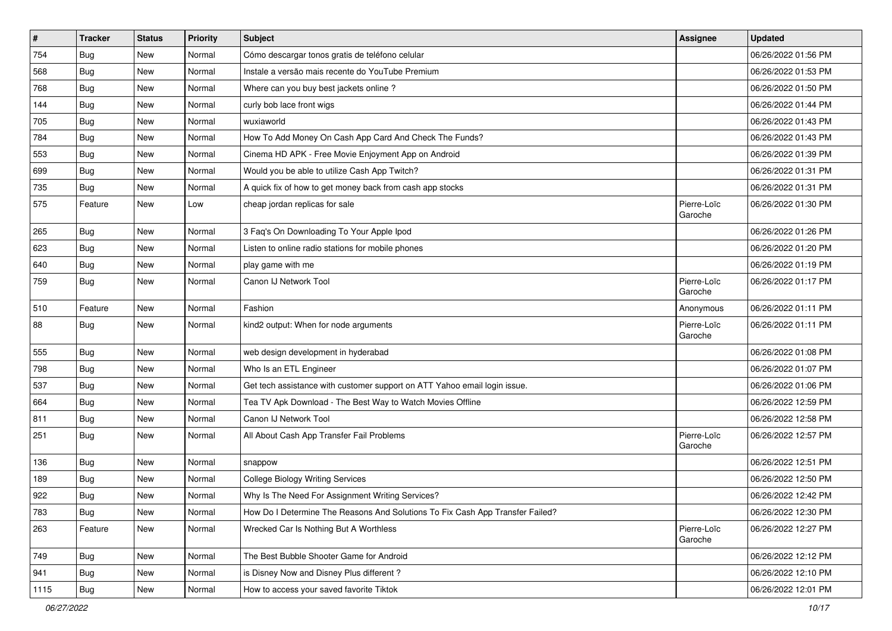| $\vert$ # | <b>Tracker</b> | <b>Status</b> | <b>Priority</b> | <b>Subject</b>                                                                | <b>Assignee</b>        | <b>Updated</b>      |
|-----------|----------------|---------------|-----------------|-------------------------------------------------------------------------------|------------------------|---------------------|
| 754       | <b>Bug</b>     | New           | Normal          | Cómo descargar tonos gratis de teléfono celular                               |                        | 06/26/2022 01:56 PM |
| 568       | Bug            | <b>New</b>    | Normal          | Instale a versão mais recente do YouTube Premium                              |                        | 06/26/2022 01:53 PM |
| 768       | <b>Bug</b>     | New           | Normal          | Where can you buy best jackets online?                                        |                        | 06/26/2022 01:50 PM |
| 144       | <b>Bug</b>     | New           | Normal          | curly bob lace front wigs                                                     |                        | 06/26/2022 01:44 PM |
| 705       | Bug            | New           | Normal          | wuxiaworld                                                                    |                        | 06/26/2022 01:43 PM |
| 784       | <b>Bug</b>     | New           | Normal          | How To Add Money On Cash App Card And Check The Funds?                        |                        | 06/26/2022 01:43 PM |
| 553       | Bug            | New           | Normal          | Cinema HD APK - Free Movie Enjoyment App on Android                           |                        | 06/26/2022 01:39 PM |
| 699       | Bug            | New           | Normal          | Would you be able to utilize Cash App Twitch?                                 |                        | 06/26/2022 01:31 PM |
| 735       | <b>Bug</b>     | New           | Normal          | A quick fix of how to get money back from cash app stocks                     |                        | 06/26/2022 01:31 PM |
| 575       | Feature        | New           | Low             | cheap jordan replicas for sale                                                | Pierre-Loïc<br>Garoche | 06/26/2022 01:30 PM |
| 265       | Bug            | New           | Normal          | 3 Faq's On Downloading To Your Apple Ipod                                     |                        | 06/26/2022 01:26 PM |
| 623       | Bug            | New           | Normal          | Listen to online radio stations for mobile phones                             |                        | 06/26/2022 01:20 PM |
| 640       | <b>Bug</b>     | New           | Normal          | play game with me                                                             |                        | 06/26/2022 01:19 PM |
| 759       | Bug            | New           | Normal          | Canon IJ Network Tool                                                         | Pierre-Loïc<br>Garoche | 06/26/2022 01:17 PM |
| 510       | Feature        | New           | Normal          | Fashion                                                                       | Anonymous              | 06/26/2022 01:11 PM |
| 88        | Bug            | New           | Normal          | kind2 output: When for node arguments                                         | Pierre-Loïc<br>Garoche | 06/26/2022 01:11 PM |
| 555       | <b>Bug</b>     | New           | Normal          | web design development in hyderabad                                           |                        | 06/26/2022 01:08 PM |
| 798       | Bug            | New           | Normal          | Who Is an ETL Engineer                                                        |                        | 06/26/2022 01:07 PM |
| 537       | Bug            | New           | Normal          | Get tech assistance with customer support on ATT Yahoo email login issue.     |                        | 06/26/2022 01:06 PM |
| 664       | <b>Bug</b>     | New           | Normal          | Tea TV Apk Download - The Best Way to Watch Movies Offline                    |                        | 06/26/2022 12:59 PM |
| 811       | <b>Bug</b>     | New           | Normal          | Canon IJ Network Tool                                                         |                        | 06/26/2022 12:58 PM |
| 251       | <b>Bug</b>     | New           | Normal          | All About Cash App Transfer Fail Problems                                     | Pierre-Loïc<br>Garoche | 06/26/2022 12:57 PM |
| 136       | Bug            | New           | Normal          | snappow                                                                       |                        | 06/26/2022 12:51 PM |
| 189       | Bug            | New           | Normal          | <b>College Biology Writing Services</b>                                       |                        | 06/26/2022 12:50 PM |
| 922       | <b>Bug</b>     | New           | Normal          | Why Is The Need For Assignment Writing Services?                              |                        | 06/26/2022 12:42 PM |
| 783       | <b>Bug</b>     | New           | Normal          | How Do I Determine The Reasons And Solutions To Fix Cash App Transfer Failed? |                        | 06/26/2022 12:30 PM |
| 263       | Feature        | New           | Normal          | Wrecked Car Is Nothing But A Worthless                                        | Pierre-Loïc<br>Garoche | 06/26/2022 12:27 PM |
| 749       | Bug            | New           | Normal          | The Best Bubble Shooter Game for Android                                      |                        | 06/26/2022 12:12 PM |
| 941       | <b>Bug</b>     | New           | Normal          | is Disney Now and Disney Plus different?                                      |                        | 06/26/2022 12:10 PM |
| 1115      | <b>Bug</b>     | New           | Normal          | How to access your saved favorite Tiktok                                      |                        | 06/26/2022 12:01 PM |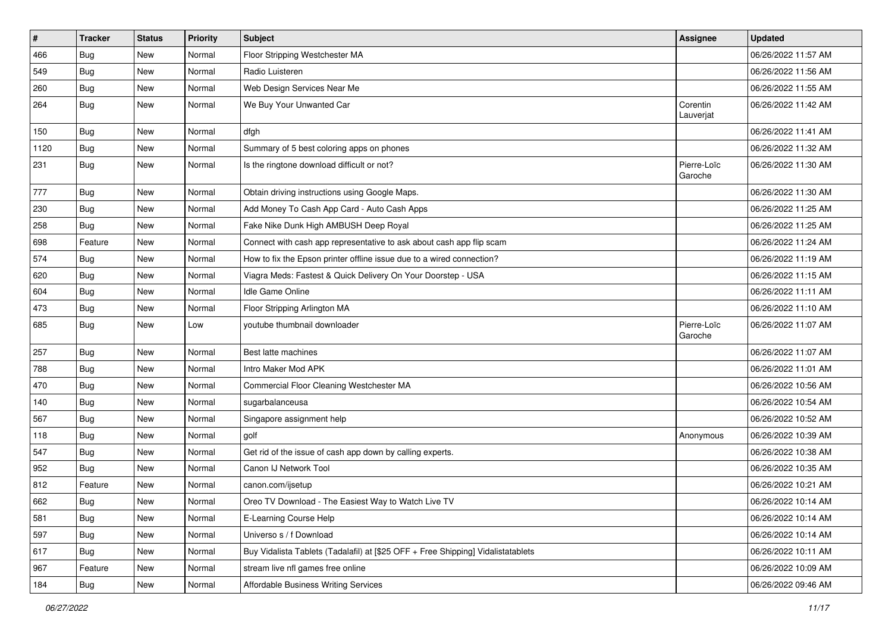| $\vert$ # | <b>Tracker</b> | <b>Status</b> | <b>Priority</b> | <b>Subject</b>                                                                   | <b>Assignee</b>        | <b>Updated</b>      |
|-----------|----------------|---------------|-----------------|----------------------------------------------------------------------------------|------------------------|---------------------|
| 466       | <b>Bug</b>     | New           | Normal          | Floor Stripping Westchester MA                                                   |                        | 06/26/2022 11:57 AM |
| 549       | <b>Bug</b>     | New           | Normal          | Radio Luisteren                                                                  |                        | 06/26/2022 11:56 AM |
| 260       | Bug            | New           | Normal          | Web Design Services Near Me                                                      |                        | 06/26/2022 11:55 AM |
| 264       | <b>Bug</b>     | New           | Normal          | We Buy Your Unwanted Car                                                         | Corentin<br>Lauverjat  | 06/26/2022 11:42 AM |
| 150       | <b>Bug</b>     | New           | Normal          | dfgh                                                                             |                        | 06/26/2022 11:41 AM |
| 1120      | Bug            | New           | Normal          | Summary of 5 best coloring apps on phones                                        |                        | 06/26/2022 11:32 AM |
| 231       | Bug            | New           | Normal          | Is the ringtone download difficult or not?                                       | Pierre-Loïc<br>Garoche | 06/26/2022 11:30 AM |
| 777       | <b>Bug</b>     | New           | Normal          | Obtain driving instructions using Google Maps.                                   |                        | 06/26/2022 11:30 AM |
| 230       | <b>Bug</b>     | New           | Normal          | Add Money To Cash App Card - Auto Cash Apps                                      |                        | 06/26/2022 11:25 AM |
| 258       | <b>Bug</b>     | New           | Normal          | Fake Nike Dunk High AMBUSH Deep Royal                                            |                        | 06/26/2022 11:25 AM |
| 698       | Feature        | New           | Normal          | Connect with cash app representative to ask about cash app flip scam             |                        | 06/26/2022 11:24 AM |
| 574       | <b>Bug</b>     | New           | Normal          | How to fix the Epson printer offline issue due to a wired connection?            |                        | 06/26/2022 11:19 AM |
| 620       | <b>Bug</b>     | New           | Normal          | Viagra Meds: Fastest & Quick Delivery On Your Doorstep - USA                     |                        | 06/26/2022 11:15 AM |
| 604       | Bug            | New           | Normal          | <b>Idle Game Online</b>                                                          |                        | 06/26/2022 11:11 AM |
| 473       | Bug            | New           | Normal          | Floor Stripping Arlington MA                                                     |                        | 06/26/2022 11:10 AM |
| 685       | Bug            | New           | Low             | youtube thumbnail downloader                                                     | Pierre-Loïc<br>Garoche | 06/26/2022 11:07 AM |
| 257       | <b>Bug</b>     | New           | Normal          | Best latte machines                                                              |                        | 06/26/2022 11:07 AM |
| 788       | Bug            | New           | Normal          | Intro Maker Mod APK                                                              |                        | 06/26/2022 11:01 AM |
| 470       | Bug            | New           | Normal          | Commercial Floor Cleaning Westchester MA                                         |                        | 06/26/2022 10:56 AM |
| 140       | <b>Bug</b>     | New           | Normal          | sugarbalanceusa                                                                  |                        | 06/26/2022 10:54 AM |
| 567       | <b>Bug</b>     | New           | Normal          | Singapore assignment help                                                        |                        | 06/26/2022 10:52 AM |
| 118       | <b>Bug</b>     | New           | Normal          | golf                                                                             | Anonymous              | 06/26/2022 10:39 AM |
| 547       | Bug            | New           | Normal          | Get rid of the issue of cash app down by calling experts.                        |                        | 06/26/2022 10:38 AM |
| 952       | Bug            | New           | Normal          | Canon IJ Network Tool                                                            |                        | 06/26/2022 10:35 AM |
| 812       | Feature        | New           | Normal          | canon.com/ijsetup                                                                |                        | 06/26/2022 10:21 AM |
| 662       | Bug            | New           | Normal          | Oreo TV Download - The Easiest Way to Watch Live TV                              |                        | 06/26/2022 10:14 AM |
| 581       | Bug            | New           | Normal          | E-Learning Course Help                                                           |                        | 06/26/2022 10:14 AM |
| 597       | Bug            | New           | Normal          | Universo s / f Download                                                          |                        | 06/26/2022 10:14 AM |
| 617       | <b>Bug</b>     | New           | Normal          | Buy Vidalista Tablets (Tadalafil) at [\$25 OFF + Free Shipping] Vidalistatablets |                        | 06/26/2022 10:11 AM |
| 967       | Feature        | New           | Normal          | stream live nfl games free online                                                |                        | 06/26/2022 10:09 AM |
| 184       | Bug            | New           | Normal          | Affordable Business Writing Services                                             |                        | 06/26/2022 09:46 AM |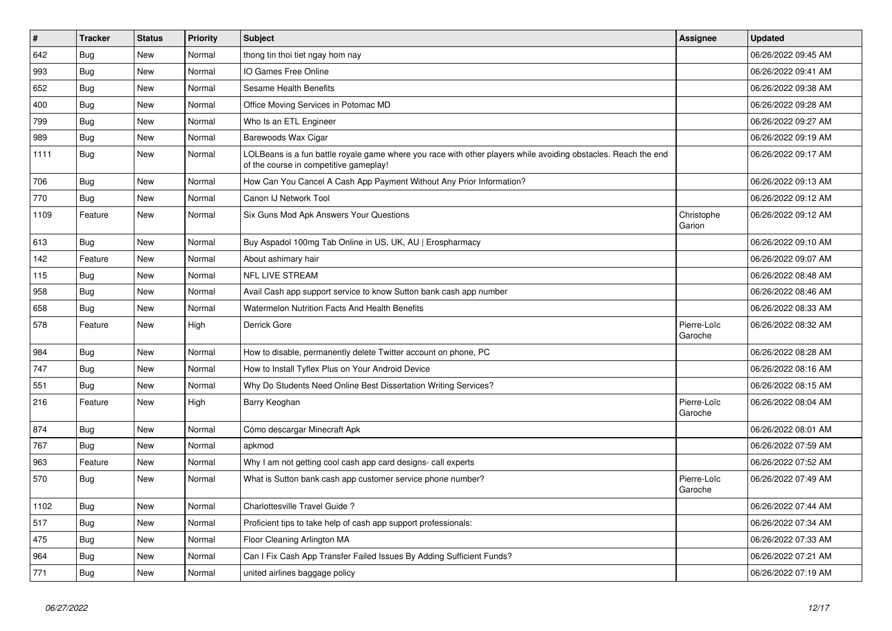| $\vert$ # | <b>Tracker</b> | <b>Status</b> | <b>Priority</b> | <b>Subject</b>                                                                                                                                           | <b>Assignee</b>        | <b>Updated</b>      |
|-----------|----------------|---------------|-----------------|----------------------------------------------------------------------------------------------------------------------------------------------------------|------------------------|---------------------|
| 642       | <b>Bug</b>     | <b>New</b>    | Normal          | thong tin thoi tiet ngay hom nay                                                                                                                         |                        | 06/26/2022 09:45 AM |
| 993       | <b>Bug</b>     | <b>New</b>    | Normal          | IO Games Free Online                                                                                                                                     |                        | 06/26/2022 09:41 AM |
| 652       | Bug            | New           | Normal          | <b>Sesame Health Benefits</b>                                                                                                                            |                        | 06/26/2022 09:38 AM |
| 400       | Bug            | <b>New</b>    | Normal          | Office Moving Services in Potomac MD                                                                                                                     |                        | 06/26/2022 09:28 AM |
| 799       | Bug            | <b>New</b>    | Normal          | Who Is an ETL Engineer                                                                                                                                   |                        | 06/26/2022 09:27 AM |
| 989       | Bug            | <b>New</b>    | Normal          | Barewoods Wax Cigar                                                                                                                                      |                        | 06/26/2022 09:19 AM |
| 1111      | Bug            | <b>New</b>    | Normal          | LOLBeans is a fun battle royale game where you race with other players while avoiding obstacles. Reach the end<br>of the course in competitive gameplay! |                        | 06/26/2022 09:17 AM |
| 706       | Bug            | <b>New</b>    | Normal          | How Can You Cancel A Cash App Payment Without Any Prior Information?                                                                                     |                        | 06/26/2022 09:13 AM |
| 770       | Bug            | <b>New</b>    | Normal          | Canon IJ Network Tool                                                                                                                                    |                        | 06/26/2022 09:12 AM |
| 1109      | Feature        | <b>New</b>    | Normal          | Six Guns Mod Apk Answers Your Questions                                                                                                                  | Christophe<br>Garion   | 06/26/2022 09:12 AM |
| 613       | Bug            | <b>New</b>    | Normal          | Buy Aspadol 100mg Tab Online in US, UK, AU   Erospharmacy                                                                                                |                        | 06/26/2022 09:10 AM |
| 142       | Feature        | New           | Normal          | About ashimary hair                                                                                                                                      |                        | 06/26/2022 09:07 AM |
| 115       | <b>Bug</b>     | <b>New</b>    | Normal          | <b>NFL LIVE STREAM</b>                                                                                                                                   |                        | 06/26/2022 08:48 AM |
| 958       | Bug            | <b>New</b>    | Normal          | Avail Cash app support service to know Sutton bank cash app number                                                                                       |                        | 06/26/2022 08:46 AM |
| 658       | Bug            | <b>New</b>    | Normal          | <b>Watermelon Nutrition Facts And Health Benefits</b>                                                                                                    |                        | 06/26/2022 08:33 AM |
| 578       | Feature        | New           | High            | Derrick Gore                                                                                                                                             | Pierre-Loïc<br>Garoche | 06/26/2022 08:32 AM |
| 984       | Bug            | <b>New</b>    | Normal          | How to disable, permanently delete Twitter account on phone, PC                                                                                          |                        | 06/26/2022 08:28 AM |
| 747       | <b>Bug</b>     | New           | Normal          | How to Install Tyflex Plus on Your Android Device                                                                                                        |                        | 06/26/2022 08:16 AM |
| 551       | <b>Bug</b>     | <b>New</b>    | Normal          | Why Do Students Need Online Best Dissertation Writing Services?                                                                                          |                        | 06/26/2022 08:15 AM |
| 216       | Feature        | <b>New</b>    | High            | Barry Keoghan                                                                                                                                            | Pierre-Loïc<br>Garoche | 06/26/2022 08:04 AM |
| 874       | Bug            | <b>New</b>    | Normal          | Cómo descargar Minecraft Apk                                                                                                                             |                        | 06/26/2022 08:01 AM |
| 767       | <b>Bug</b>     | New           | Normal          | apkmod                                                                                                                                                   |                        | 06/26/2022 07:59 AM |
| 963       | Feature        | <b>New</b>    | Normal          | Why I am not getting cool cash app card designs- call experts                                                                                            |                        | 06/26/2022 07:52 AM |
| 570       | Bug            | New           | Normal          | What is Sutton bank cash app customer service phone number?                                                                                              | Pierre-Loïc<br>Garoche | 06/26/2022 07:49 AM |
| 1102      | <b>Bug</b>     | <b>New</b>    | Normal          | Charlottesville Travel Guide?                                                                                                                            |                        | 06/26/2022 07:44 AM |
| 517       | <b>Bug</b>     | New           | Normal          | Proficient tips to take help of cash app support professionals:                                                                                          |                        | 06/26/2022 07:34 AM |
| 475       | <b>Bug</b>     | New           | Normal          | Floor Cleaning Arlington MA                                                                                                                              |                        | 06/26/2022 07:33 AM |
| 964       | Bug            | <b>New</b>    | Normal          | Can I Fix Cash App Transfer Failed Issues By Adding Sufficient Funds?                                                                                    |                        | 06/26/2022 07:21 AM |
| 771       | <b>Bug</b>     | <b>New</b>    | Normal          | united airlines baggage policy                                                                                                                           |                        | 06/26/2022 07:19 AM |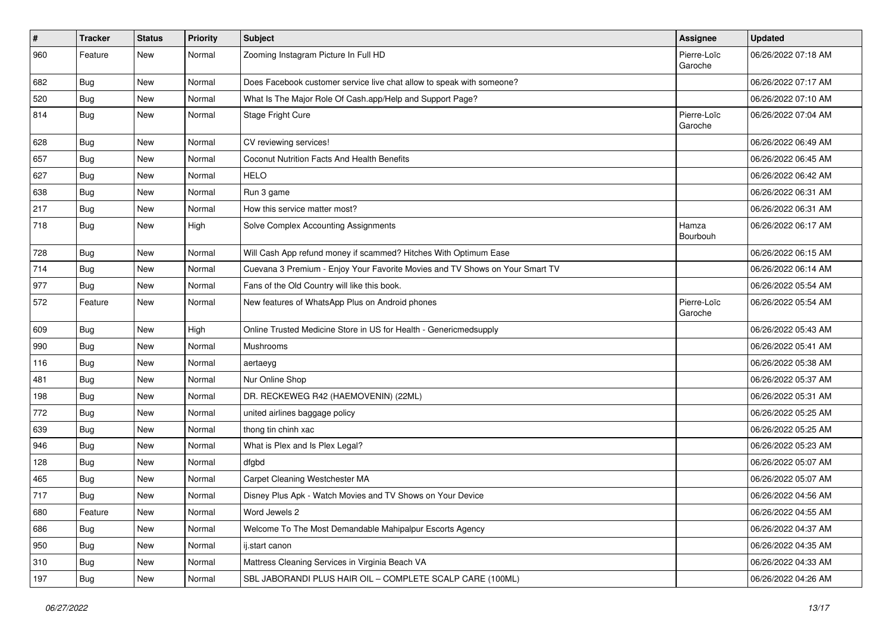| $\vert$ # | <b>Tracker</b> | <b>Status</b> | <b>Priority</b> | <b>Subject</b>                                                               | <b>Assignee</b>        | <b>Updated</b>      |
|-----------|----------------|---------------|-----------------|------------------------------------------------------------------------------|------------------------|---------------------|
| 960       | Feature        | New           | Normal          | Zooming Instagram Picture In Full HD                                         | Pierre-Loïc<br>Garoche | 06/26/2022 07:18 AM |
| 682       | Bug            | New           | Normal          | Does Facebook customer service live chat allow to speak with someone?        |                        | 06/26/2022 07:17 AM |
| 520       | Bug            | New           | Normal          | What Is The Major Role Of Cash.app/Help and Support Page?                    |                        | 06/26/2022 07:10 AM |
| 814       | Bug            | New           | Normal          | Stage Fright Cure                                                            | Pierre-Loïc<br>Garoche | 06/26/2022 07:04 AM |
| 628       | <b>Bug</b>     | New           | Normal          | CV reviewing services!                                                       |                        | 06/26/2022 06:49 AM |
| 657       | <b>Bug</b>     | New           | Normal          | Coconut Nutrition Facts And Health Benefits                                  |                        | 06/26/2022 06:45 AM |
| 627       | Bug            | New           | Normal          | <b>HELO</b>                                                                  |                        | 06/26/2022 06:42 AM |
| 638       | Bug            | New           | Normal          | Run 3 game                                                                   |                        | 06/26/2022 06:31 AM |
| 217       | Bug            | New           | Normal          | How this service matter most?                                                |                        | 06/26/2022 06:31 AM |
| 718       | <b>Bug</b>     | New           | High            | Solve Complex Accounting Assignments                                         | Hamza<br>Bourbouh      | 06/26/2022 06:17 AM |
| 728       | Bug            | New           | Normal          | Will Cash App refund money if scammed? Hitches With Optimum Ease             |                        | 06/26/2022 06:15 AM |
| 714       | Bug            | New           | Normal          | Cuevana 3 Premium - Enjoy Your Favorite Movies and TV Shows on Your Smart TV |                        | 06/26/2022 06:14 AM |
| 977       | Bug            | New           | Normal          | Fans of the Old Country will like this book.                                 |                        | 06/26/2022 05:54 AM |
| 572       | Feature        | New           | Normal          | New features of WhatsApp Plus on Android phones                              | Pierre-Loïc<br>Garoche | 06/26/2022 05:54 AM |
| 609       | Bug            | New           | High            | Online Trusted Medicine Store in US for Health - Genericmedsupply            |                        | 06/26/2022 05:43 AM |
| 990       | <b>Bug</b>     | New           | Normal          | Mushrooms                                                                    |                        | 06/26/2022 05:41 AM |
| 116       | Bug            | New           | Normal          | aertaeyg                                                                     |                        | 06/26/2022 05:38 AM |
| 481       | Bug            | New           | Normal          | Nur Online Shop                                                              |                        | 06/26/2022 05:37 AM |
| 198       | Bug            | <b>New</b>    | Normal          | DR. RECKEWEG R42 (HAEMOVENIN) (22ML)                                         |                        | 06/26/2022 05:31 AM |
| 772       | Bug            | New           | Normal          | united airlines baggage policy                                               |                        | 06/26/2022 05:25 AM |
| 639       | <b>Bug</b>     | New           | Normal          | thong tin chinh xac                                                          |                        | 06/26/2022 05:25 AM |
| 946       | Bug            | New           | Normal          | What is Plex and Is Plex Legal?                                              |                        | 06/26/2022 05:23 AM |
| 128       | <b>Bug</b>     | New           | Normal          | dfgbd                                                                        |                        | 06/26/2022 05:07 AM |
| 465       | Bug            | <b>New</b>    | Normal          | Carpet Cleaning Westchester MA                                               |                        | 06/26/2022 05:07 AM |
| 717       | Bug            | New           | Normal          | Disney Plus Apk - Watch Movies and TV Shows on Your Device                   |                        | 06/26/2022 04:56 AM |
| 680       | Feature        | New           | Normal          | Word Jewels 2                                                                |                        | 06/26/2022 04:55 AM |
| 686       | Bug            | New           | Normal          | Welcome To The Most Demandable Mahipalpur Escorts Agency                     |                        | 06/26/2022 04:37 AM |
| 950       | <b>Bug</b>     | New           | Normal          | ij.start canon                                                               |                        | 06/26/2022 04:35 AM |
| 310       | Bug            | New           | Normal          | Mattress Cleaning Services in Virginia Beach VA                              |                        | 06/26/2022 04:33 AM |
| 197       | <b>Bug</b>     | New           | Normal          | SBL JABORANDI PLUS HAIR OIL - COMPLETE SCALP CARE (100ML)                    |                        | 06/26/2022 04:26 AM |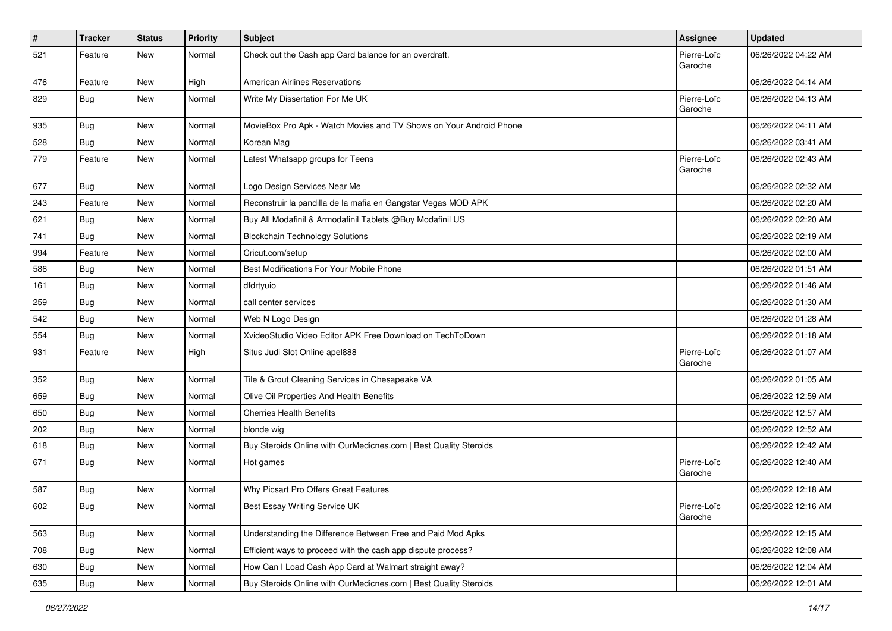| #   | <b>Tracker</b> | <b>Status</b> | <b>Priority</b> | Subject                                                            | Assignee               | <b>Updated</b>      |
|-----|----------------|---------------|-----------------|--------------------------------------------------------------------|------------------------|---------------------|
| 521 | Feature        | New           | Normal          | Check out the Cash app Card balance for an overdraft.              | Pierre-Loïc<br>Garoche | 06/26/2022 04:22 AM |
| 476 | Feature        | New           | High            | <b>American Airlines Reservations</b>                              |                        | 06/26/2022 04:14 AM |
| 829 | <b>Bug</b>     | New           | Normal          | Write My Dissertation For Me UK                                    | Pierre-Loïc<br>Garoche | 06/26/2022 04:13 AM |
| 935 | Bug            | New           | Normal          | MovieBox Pro Apk - Watch Movies and TV Shows on Your Android Phone |                        | 06/26/2022 04:11 AM |
| 528 | <b>Bug</b>     | New           | Normal          | Korean Mag                                                         |                        | 06/26/2022 03:41 AM |
| 779 | Feature        | New           | Normal          | Latest Whatsapp groups for Teens                                   | Pierre-Loïc<br>Garoche | 06/26/2022 02:43 AM |
| 677 | <b>Bug</b>     | <b>New</b>    | Normal          | Logo Design Services Near Me                                       |                        | 06/26/2022 02:32 AM |
| 243 | Feature        | New           | Normal          | Reconstruir la pandilla de la mafia en Gangstar Vegas MOD APK      |                        | 06/26/2022 02:20 AM |
| 621 | <b>Bug</b>     | New           | Normal          | Buy All Modafinil & Armodafinil Tablets @Buy Modafinil US          |                        | 06/26/2022 02:20 AM |
| 741 | Bug            | <b>New</b>    | Normal          | <b>Blockchain Technology Solutions</b>                             |                        | 06/26/2022 02:19 AM |
| 994 | Feature        | New           | Normal          | Cricut.com/setup                                                   |                        | 06/26/2022 02:00 AM |
| 586 | <b>Bug</b>     | New           | Normal          | Best Modifications For Your Mobile Phone                           |                        | 06/26/2022 01:51 AM |
| 161 | <b>Bug</b>     | New           | Normal          | dfdrtyuio                                                          |                        | 06/26/2022 01:46 AM |
| 259 | <b>Bug</b>     | New           | Normal          | call center services                                               |                        | 06/26/2022 01:30 AM |
| 542 | <b>Bug</b>     | New           | Normal          | Web N Logo Design                                                  |                        | 06/26/2022 01:28 AM |
| 554 | <b>Bug</b>     | New           | Normal          | XvideoStudio Video Editor APK Free Download on TechToDown          |                        | 06/26/2022 01:18 AM |
| 931 | Feature        | New           | High            | Situs Judi Slot Online apel888                                     | Pierre-Loïc<br>Garoche | 06/26/2022 01:07 AM |
| 352 | Bug            | New           | Normal          | Tile & Grout Cleaning Services in Chesapeake VA                    |                        | 06/26/2022 01:05 AM |
| 659 | Bug            | New           | Normal          | Olive Oil Properties And Health Benefits                           |                        | 06/26/2022 12:59 AM |
| 650 | <b>Bug</b>     | New           | Normal          | <b>Cherries Health Benefits</b>                                    |                        | 06/26/2022 12:57 AM |
| 202 | <b>Bug</b>     | New           | Normal          | blonde wig                                                         |                        | 06/26/2022 12:52 AM |
| 618 | Bug            | <b>New</b>    | Normal          | Buy Steroids Online with OurMedicnes.com   Best Quality Steroids   |                        | 06/26/2022 12:42 AM |
| 671 | Bug            | New           | Normal          | Hot games                                                          | Pierre-Loïc<br>Garoche | 06/26/2022 12:40 AM |
| 587 | <b>Bug</b>     | <b>New</b>    | Normal          | Why Picsart Pro Offers Great Features                              |                        | 06/26/2022 12:18 AM |
| 602 | <b>Bug</b>     | New           | Normal          | <b>Best Essay Writing Service UK</b>                               | Pierre-Loïc<br>Garoche | 06/26/2022 12:16 AM |
| 563 | Bug            | New           | Normal          | Understanding the Difference Between Free and Paid Mod Apks        |                        | 06/26/2022 12:15 AM |
| 708 | Bug            | New           | Normal          | Efficient ways to proceed with the cash app dispute process?       |                        | 06/26/2022 12:08 AM |
| 630 | <b>Bug</b>     | New           | Normal          | How Can I Load Cash App Card at Walmart straight away?             |                        | 06/26/2022 12:04 AM |
| 635 | Bug            | New           | Normal          | Buy Steroids Online with OurMedicnes.com   Best Quality Steroids   |                        | 06/26/2022 12:01 AM |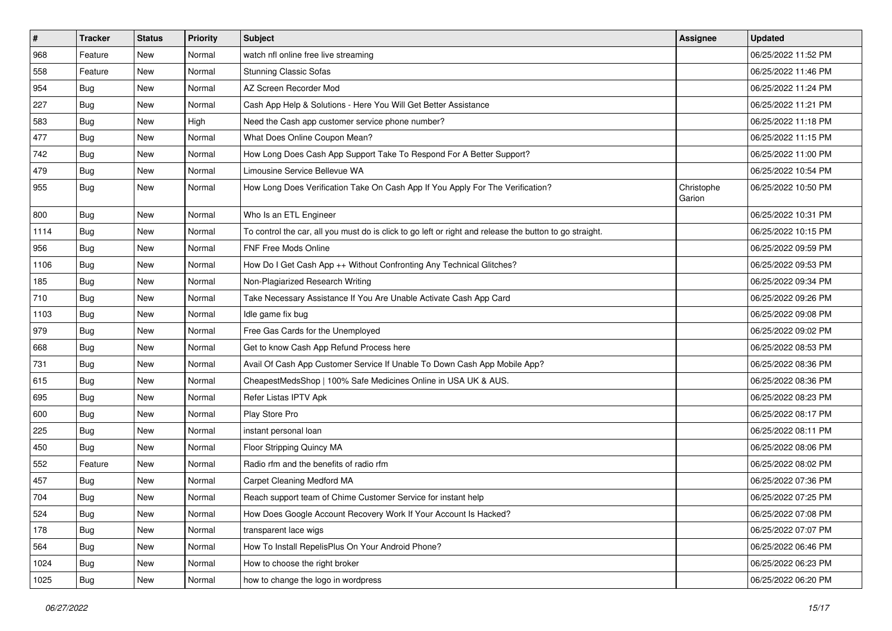| $\sharp$ | <b>Tracker</b> | <b>Status</b> | <b>Priority</b> | Subject                                                                                                 | Assignee             | <b>Updated</b>      |
|----------|----------------|---------------|-----------------|---------------------------------------------------------------------------------------------------------|----------------------|---------------------|
| 968      | Feature        | New           | Normal          | watch nfl online free live streaming                                                                    |                      | 06/25/2022 11:52 PM |
| 558      | Feature        | New           | Normal          | <b>Stunning Classic Sofas</b>                                                                           |                      | 06/25/2022 11:46 PM |
| 954      | <b>Bug</b>     | New           | Normal          | AZ Screen Recorder Mod                                                                                  |                      | 06/25/2022 11:24 PM |
| 227      | <b>Bug</b>     | <b>New</b>    | Normal          | Cash App Help & Solutions - Here You Will Get Better Assistance                                         |                      | 06/25/2022 11:21 PM |
| 583      | Bug            | New           | High            | Need the Cash app customer service phone number?                                                        |                      | 06/25/2022 11:18 PM |
| 477      | <b>Bug</b>     | New           | Normal          | What Does Online Coupon Mean?                                                                           |                      | 06/25/2022 11:15 PM |
| 742      | Bug            | New           | Normal          | How Long Does Cash App Support Take To Respond For A Better Support?                                    |                      | 06/25/2022 11:00 PM |
| 479      | <b>Bug</b>     | New           | Normal          | Limousine Service Bellevue WA                                                                           |                      | 06/25/2022 10:54 PM |
| 955      | <b>Bug</b>     | New           | Normal          | How Long Does Verification Take On Cash App If You Apply For The Verification?                          | Christophe<br>Garion | 06/25/2022 10:50 PM |
| 800      | Bug            | New           | Normal          | Who Is an ETL Engineer                                                                                  |                      | 06/25/2022 10:31 PM |
| 1114     | <b>Bug</b>     | <b>New</b>    | Normal          | To control the car, all you must do is click to go left or right and release the button to go straight. |                      | 06/25/2022 10:15 PM |
| 956      | Bug            | New           | Normal          | <b>FNF Free Mods Online</b>                                                                             |                      | 06/25/2022 09:59 PM |
| 1106     | <b>Bug</b>     | New           | Normal          | How Do I Get Cash App ++ Without Confronting Any Technical Glitches?                                    |                      | 06/25/2022 09:53 PM |
| 185      | Bug            | <b>New</b>    | Normal          | Non-Plagiarized Research Writing                                                                        |                      | 06/25/2022 09:34 PM |
| 710      | <b>Bug</b>     | New           | Normal          | Take Necessary Assistance If You Are Unable Activate Cash App Card                                      |                      | 06/25/2022 09:26 PM |
| 1103     | <b>Bug</b>     | <b>New</b>    | Normal          | Idle game fix bug                                                                                       |                      | 06/25/2022 09:08 PM |
| 979      | Bug            | New           | Normal          | Free Gas Cards for the Unemployed                                                                       |                      | 06/25/2022 09:02 PM |
| 668      | <b>Bug</b>     | New           | Normal          | Get to know Cash App Refund Process here                                                                |                      | 06/25/2022 08:53 PM |
| 731      | Bug            | New           | Normal          | Avail Of Cash App Customer Service If Unable To Down Cash App Mobile App?                               |                      | 06/25/2022 08:36 PM |
| 615      | Bug            | <b>New</b>    | Normal          | CheapestMedsShop   100% Safe Medicines Online in USA UK & AUS.                                          |                      | 06/25/2022 08:36 PM |
| 695      | <b>Bug</b>     | New           | Normal          | Refer Listas IPTV Apk                                                                                   |                      | 06/25/2022 08:23 PM |
| 600      | Bug            | <b>New</b>    | Normal          | Play Store Pro                                                                                          |                      | 06/25/2022 08:17 PM |
| 225      | Bug            | New           | Normal          | instant personal loan                                                                                   |                      | 06/25/2022 08:11 PM |
| 450      | Bug            | New           | Normal          | Floor Stripping Quincy MA                                                                               |                      | 06/25/2022 08:06 PM |
| 552      | Feature        | New           | Normal          | Radio rfm and the benefits of radio rfm                                                                 |                      | 06/25/2022 08:02 PM |
| 457      | <b>Bug</b>     | New           | Normal          | Carpet Cleaning Medford MA                                                                              |                      | 06/25/2022 07:36 PM |
| 704      | <b>Bug</b>     | <b>New</b>    | Normal          | Reach support team of Chime Customer Service for instant help                                           |                      | 06/25/2022 07:25 PM |
| 524      | Bug            | New           | Normal          | How Does Google Account Recovery Work If Your Account Is Hacked?                                        |                      | 06/25/2022 07:08 PM |
| 178      | Bug            | New           | Normal          | transparent lace wigs                                                                                   |                      | 06/25/2022 07:07 PM |
| 564      | <b>Bug</b>     | New           | Normal          | How To Install RepelisPlus On Your Android Phone?                                                       |                      | 06/25/2022 06:46 PM |
| 1024     | <b>Bug</b>     | New           | Normal          | How to choose the right broker                                                                          |                      | 06/25/2022 06:23 PM |
| 1025     | <b>Bug</b>     | New           | Normal          | how to change the logo in wordpress                                                                     |                      | 06/25/2022 06:20 PM |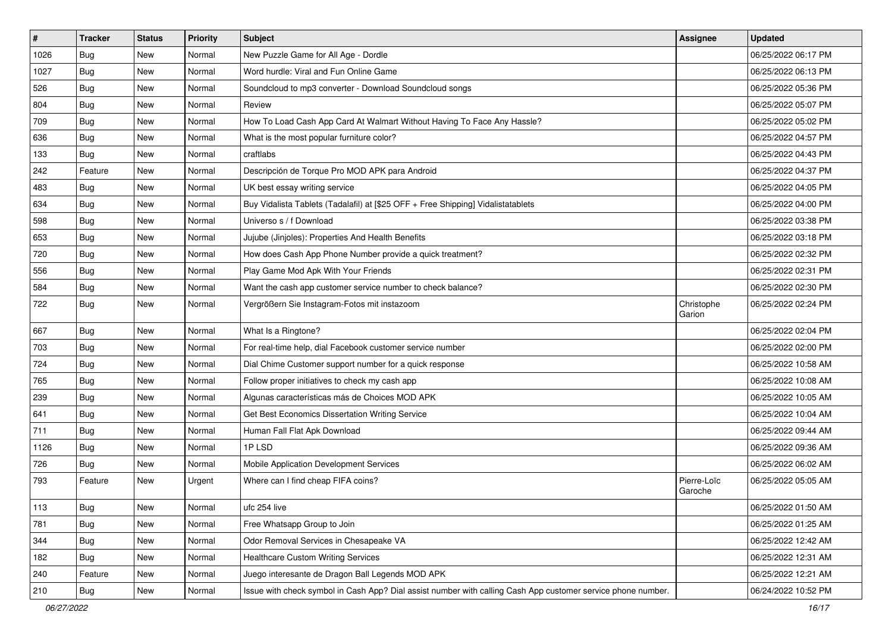| $\vert$ # | <b>Tracker</b> | <b>Status</b> | Priority | <b>Subject</b>                                                                                               | <b>Assignee</b>        | <b>Updated</b>      |
|-----------|----------------|---------------|----------|--------------------------------------------------------------------------------------------------------------|------------------------|---------------------|
| 1026      | <b>Bug</b>     | New           | Normal   | New Puzzle Game for All Age - Dordle                                                                         |                        | 06/25/2022 06:17 PM |
| 1027      | <b>Bug</b>     | New           | Normal   | Word hurdle: Viral and Fun Online Game                                                                       |                        | 06/25/2022 06:13 PM |
| 526       | Bug            | New           | Normal   | Soundcloud to mp3 converter - Download Soundcloud songs                                                      |                        | 06/25/2022 05:36 PM |
| 804       | <b>Bug</b>     | New           | Normal   | Review                                                                                                       |                        | 06/25/2022 05:07 PM |
| 709       | Bug            | New           | Normal   | How To Load Cash App Card At Walmart Without Having To Face Any Hassle?                                      |                        | 06/25/2022 05:02 PM |
| 636       | <b>Bug</b>     | New           | Normal   | What is the most popular furniture color?                                                                    |                        | 06/25/2022 04:57 PM |
| 133       | <b>Bug</b>     | New           | Normal   | craftlabs                                                                                                    |                        | 06/25/2022 04:43 PM |
| 242       | Feature        | New           | Normal   | Descripción de Torque Pro MOD APK para Android                                                               |                        | 06/25/2022 04:37 PM |
| 483       | <b>Bug</b>     | New           | Normal   | UK best essay writing service                                                                                |                        | 06/25/2022 04:05 PM |
| 634       | Bug            | New           | Normal   | Buy Vidalista Tablets (Tadalafil) at [\$25 OFF + Free Shipping] Vidalistatablets                             |                        | 06/25/2022 04:00 PM |
| 598       | <b>Bug</b>     | New           | Normal   | Universo s / f Download                                                                                      |                        | 06/25/2022 03:38 PM |
| 653       | <b>Bug</b>     | New           | Normal   | Jujube (Jinjoles): Properties And Health Benefits                                                            |                        | 06/25/2022 03:18 PM |
| 720       | Bug            | New           | Normal   | How does Cash App Phone Number provide a quick treatment?                                                    |                        | 06/25/2022 02:32 PM |
| 556       | Bug            | New           | Normal   | Play Game Mod Apk With Your Friends                                                                          |                        | 06/25/2022 02:31 PM |
| 584       | <b>Bug</b>     | New           | Normal   | Want the cash app customer service number to check balance?                                                  |                        | 06/25/2022 02:30 PM |
| 722       | Bug            | New           | Normal   | Vergrößern Sie Instagram-Fotos mit instazoom                                                                 | Christophe<br>Garion   | 06/25/2022 02:24 PM |
| 667       | Bug            | New           | Normal   | What Is a Ringtone?                                                                                          |                        | 06/25/2022 02:04 PM |
| 703       | Bug            | New           | Normal   | For real-time help, dial Facebook customer service number                                                    |                        | 06/25/2022 02:00 PM |
| 724       | Bug            | New           | Normal   | Dial Chime Customer support number for a quick response                                                      |                        | 06/25/2022 10:58 AM |
| 765       | <b>Bug</b>     | <b>New</b>    | Normal   | Follow proper initiatives to check my cash app                                                               |                        | 06/25/2022 10:08 AM |
| 239       | Bug            | New           | Normal   | Algunas características más de Choices MOD APK                                                               |                        | 06/25/2022 10:05 AM |
| 641       | Bug            | New           | Normal   | Get Best Economics Dissertation Writing Service                                                              |                        | 06/25/2022 10:04 AM |
| 711       | <b>Bug</b>     | New           | Normal   | Human Fall Flat Apk Download                                                                                 |                        | 06/25/2022 09:44 AM |
| 1126      | <b>Bug</b>     | New           | Normal   | 1PLSD                                                                                                        |                        | 06/25/2022 09:36 AM |
| 726       | <b>Bug</b>     | New           | Normal   | Mobile Application Development Services                                                                      |                        | 06/25/2022 06:02 AM |
| 793       | Feature        | New           | Urgent   | Where can I find cheap FIFA coins?                                                                           | Pierre-Loïc<br>Garoche | 06/25/2022 05:05 AM |
| 113       | Bug            | New           | Normal   | ufc 254 live                                                                                                 |                        | 06/25/2022 01:50 AM |
| 781       | Bug            | New           | Normal   | Free Whatsapp Group to Join                                                                                  |                        | 06/25/2022 01:25 AM |
| 344       | Bug            | New           | Normal   | Odor Removal Services in Chesapeake VA                                                                       |                        | 06/25/2022 12:42 AM |
| 182       | <b>Bug</b>     | New           | Normal   | <b>Healthcare Custom Writing Services</b>                                                                    |                        | 06/25/2022 12:31 AM |
| 240       | Feature        | New           | Normal   | Juego interesante de Dragon Ball Legends MOD APK                                                             |                        | 06/25/2022 12:21 AM |
| 210       | <b>Bug</b>     | New           | Normal   | Issue with check symbol in Cash App? Dial assist number with calling Cash App customer service phone number. |                        | 06/24/2022 10:52 PM |